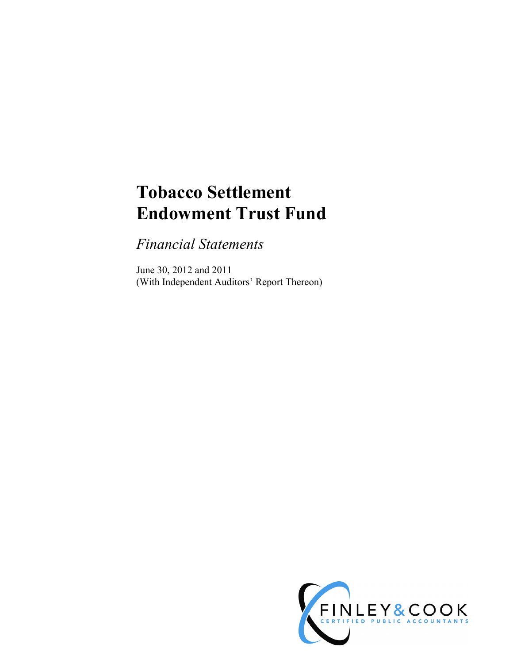# **Tobacco Settlement Endowment Trust Fund**

*Financial Statements* 

June 30, 2012 and 2011 (With Independent Auditors' Report Thereon)

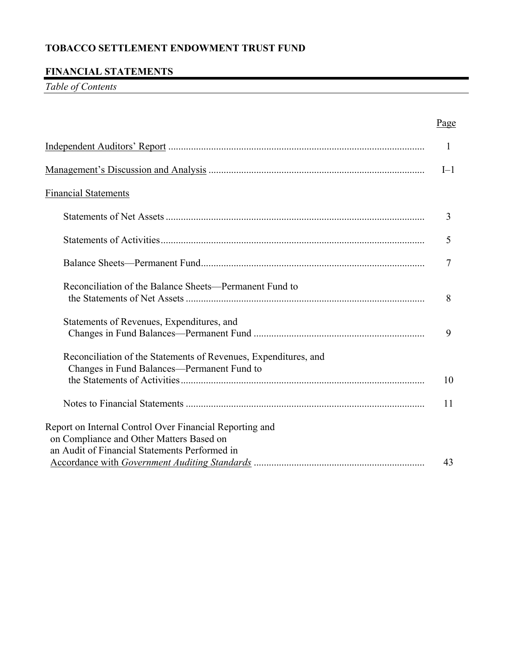# **FINANCIAL STATEMENTS**

*Table of Contents* 

|                                                                                                                                                      | Page         |
|------------------------------------------------------------------------------------------------------------------------------------------------------|--------------|
|                                                                                                                                                      | $\mathbf{I}$ |
|                                                                                                                                                      | $I-1$        |
| <b>Financial Statements</b>                                                                                                                          |              |
|                                                                                                                                                      | 3            |
|                                                                                                                                                      | 5            |
|                                                                                                                                                      | 7            |
| Reconciliation of the Balance Sheets—Permanent Fund to                                                                                               | 8            |
| Statements of Revenues, Expenditures, and                                                                                                            | 9            |
| Reconciliation of the Statements of Revenues, Expenditures, and<br>Changes in Fund Balances—Permanent Fund to                                        | 10           |
|                                                                                                                                                      | 11           |
| Report on Internal Control Over Financial Reporting and<br>on Compliance and Other Matters Based on<br>an Audit of Financial Statements Performed in |              |
|                                                                                                                                                      | 43           |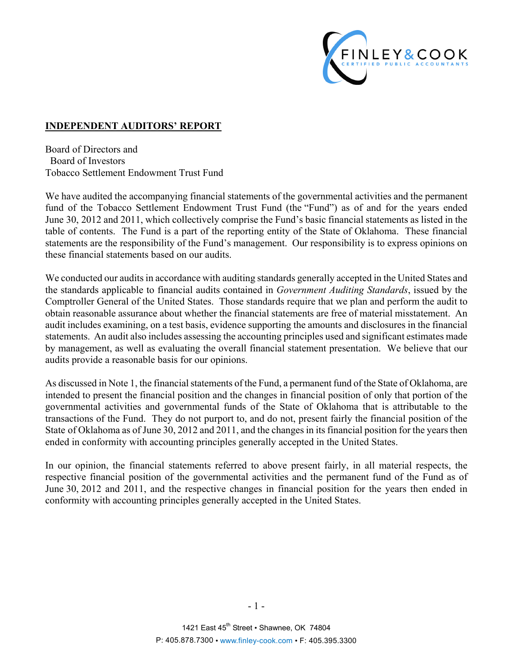

# **INDEPENDENT AUDITORS' REPORT**

Board of Directors and Board of Investors Tobacco Settlement Endowment Trust Fund

We have audited the accompanying financial statements of the governmental activities and the permanent fund of the Tobacco Settlement Endowment Trust Fund (the "Fund") as of and for the years ended June 30, 2012 and 2011, which collectively comprise the Fund's basic financial statements as listed in the table of contents. The Fund is a part of the reporting entity of the State of Oklahoma. These financial statements are the responsibility of the Fund's management. Our responsibility is to express opinions on these financial statements based on our audits.

We conducted our audits in accordance with auditing standards generally accepted in the United States and the standards applicable to financial audits contained in *Government Auditing Standards*, issued by the Comptroller General of the United States. Those standards require that we plan and perform the audit to obtain reasonable assurance about whether the financial statements are free of material misstatement. An audit includes examining, on a test basis, evidence supporting the amounts and disclosures in the financial statements. An audit also includes assessing the accounting principles used and significant estimates made by management, as well as evaluating the overall financial statement presentation. We believe that our audits provide a reasonable basis for our opinions.

As discussed in Note 1, the financial statements of the Fund, a permanent fund of the State of Oklahoma, are intended to present the financial position and the changes in financial position of only that portion of the governmental activities and governmental funds of the State of Oklahoma that is attributable to the transactions of the Fund. They do not purport to, and do not, present fairly the financial position of the State of Oklahoma as of June 30, 2012 and 2011, and the changes in its financial position for the years then ended in conformity with accounting principles generally accepted in the United States.

In our opinion, the financial statements referred to above present fairly, in all material respects, the respective financial position of the governmental activities and the permanent fund of the Fund as of June 30, 2012 and 2011, and the respective changes in financial position for the years then ended in conformity with accounting principles generally accepted in the United States.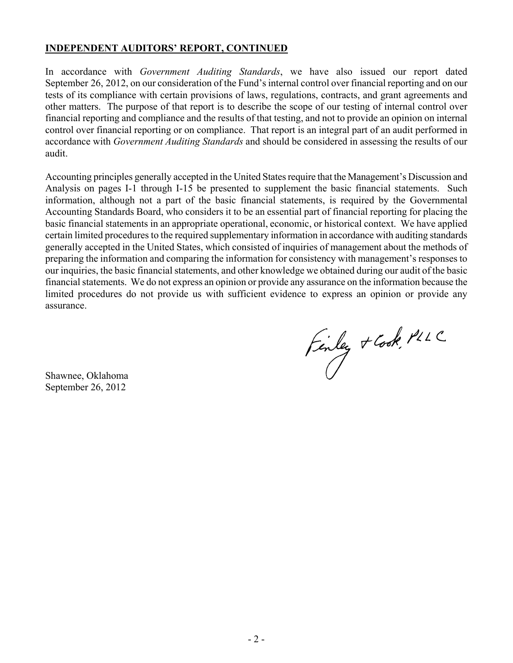# **INDEPENDENT AUDITORS' REPORT, CONTINUED**

In accordance with *Government Auditing Standards*, we have also issued our report dated September 26, 2012, on our consideration of the Fund's internal control over financial reporting and on our tests of its compliance with certain provisions of laws, regulations, contracts, and grant agreements and other matters. The purpose of that report is to describe the scope of our testing of internal control over financial reporting and compliance and the results of that testing, and not to provide an opinion on internal control over financial reporting or on compliance. That report is an integral part of an audit performed in accordance with *Government Auditing Standards* and should be considered in assessing the results of our audit.

Accounting principles generally accepted in the United States require that the Management's Discussion and Analysis on pages I-1 through I-15 be presented to supplement the basic financial statements. Such information, although not a part of the basic financial statements, is required by the Governmental Accounting Standards Board, who considers it to be an essential part of financial reporting for placing the basic financial statements in an appropriate operational, economic, or historical context. We have applied certain limited procedures to the required supplementary information in accordance with auditing standards generally accepted in the United States, which consisted of inquiries of management about the methods of preparing the information and comparing the information for consistency with management's responses to our inquiries, the basic financial statements, and other knowledge we obtained during our audit of the basic financial statements. We do not express an opinion or provide any assurance on the information because the limited procedures do not provide us with sufficient evidence to express an opinion or provide any assurance.

Finley + Cook, PLLC

Shawnee, Oklahoma September 26, 2012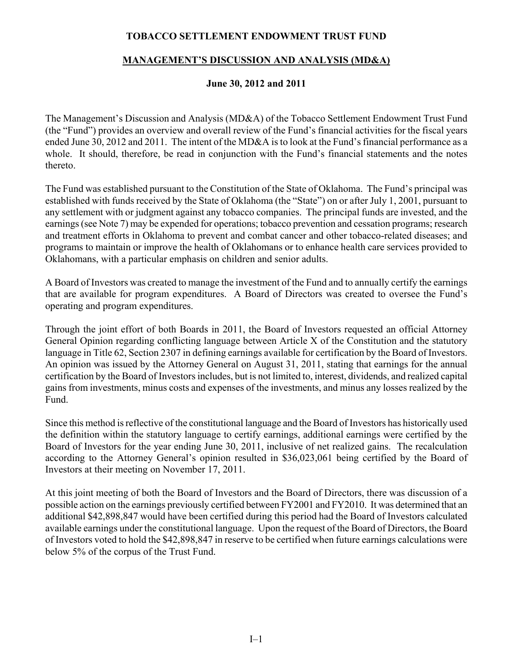# **MANAGEMENT'S DISCUSSION AND ANALYSIS (MD&A)**

# **June 30, 2012 and 2011**

The Management's Discussion and Analysis (MD&A) of the Tobacco Settlement Endowment Trust Fund (the "Fund") provides an overview and overall review of the Fund's financial activities for the fiscal years ended June 30, 2012 and 2011. The intent of the MD&A is to look at the Fund's financial performance as a whole. It should, therefore, be read in conjunction with the Fund's financial statements and the notes thereto.

The Fund was established pursuant to the Constitution of the State of Oklahoma. The Fund's principal was established with funds received by the State of Oklahoma (the "State") on or after July 1, 2001, pursuant to any settlement with or judgment against any tobacco companies. The principal funds are invested, and the earnings (see Note 7) may be expended for operations; tobacco prevention and cessation programs; research and treatment efforts in Oklahoma to prevent and combat cancer and other tobacco-related diseases; and programs to maintain or improve the health of Oklahomans or to enhance health care services provided to Oklahomans, with a particular emphasis on children and senior adults.

A Board of Investors was created to manage the investment of the Fund and to annually certify the earnings that are available for program expenditures. A Board of Directors was created to oversee the Fund's operating and program expenditures.

Through the joint effort of both Boards in 2011, the Board of Investors requested an official Attorney General Opinion regarding conflicting language between Article X of the Constitution and the statutory language in Title 62, Section 2307 in defining earnings available for certification by the Board of Investors. An opinion was issued by the Attorney General on August 31, 2011, stating that earnings for the annual certification by the Board of Investors includes, but is not limited to, interest, dividends, and realized capital gains from investments, minus costs and expenses of the investments, and minus any losses realized by the Fund.

Since this method is reflective of the constitutional language and the Board of Investors has historically used the definition within the statutory language to certify earnings, additional earnings were certified by the Board of Investors for the year ending June 30, 2011, inclusive of net realized gains. The recalculation according to the Attorney General's opinion resulted in \$36,023,061 being certified by the Board of Investors at their meeting on November 17, 2011.

At this joint meeting of both the Board of Investors and the Board of Directors, there was discussion of a possible action on the earnings previously certified between FY2001 and FY2010. It was determined that an additional \$42,898,847 would have been certified during this period had the Board of Investors calculated available earnings under the constitutional language. Upon the request of the Board of Directors, the Board of Investors voted to hold the \$42,898,847 in reserve to be certified when future earnings calculations were below 5% of the corpus of the Trust Fund.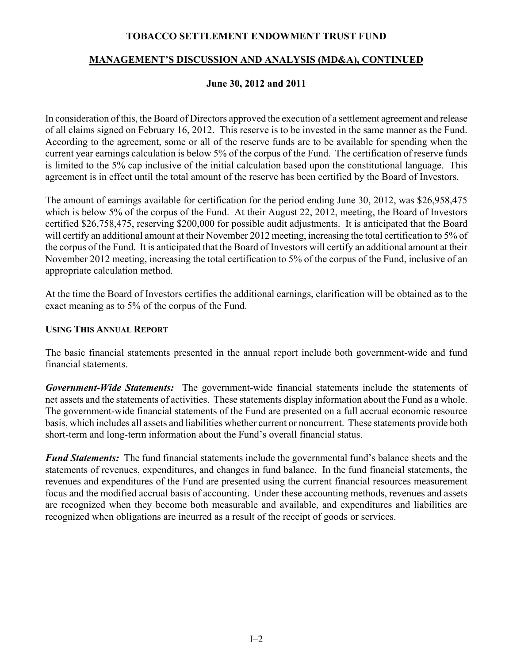# **MANAGEMENT'S DISCUSSION AND ANALYSIS (MD&A), CONTINUED**

# **June 30, 2012 and 2011**

In consideration of this, the Board of Directors approved the execution of a settlement agreement and release of all claims signed on February 16, 2012. This reserve is to be invested in the same manner as the Fund. According to the agreement, some or all of the reserve funds are to be available for spending when the current year earnings calculation is below 5% of the corpus of the Fund. The certification of reserve funds is limited to the 5% cap inclusive of the initial calculation based upon the constitutional language. This agreement is in effect until the total amount of the reserve has been certified by the Board of Investors.

The amount of earnings available for certification for the period ending June 30, 2012, was \$26,958,475 which is below 5% of the corpus of the Fund. At their August 22, 2012, meeting, the Board of Investors certified \$26,758,475, reserving \$200,000 for possible audit adjustments. It is anticipated that the Board will certify an additional amount at their November 2012 meeting, increasing the total certification to 5% of the corpus of the Fund. It is anticipated that the Board of Investors will certify an additional amount at their November 2012 meeting, increasing the total certification to 5% of the corpus of the Fund, inclusive of an appropriate calculation method.

At the time the Board of Investors certifies the additional earnings, clarification will be obtained as to the exact meaning as to 5% of the corpus of the Fund.

### **USING THIS ANNUAL REPORT**

The basic financial statements presented in the annual report include both government-wide and fund financial statements.

*Government-Wide Statements:* The government-wide financial statements include the statements of net assets and the statements of activities. These statements display information about the Fund as a whole. The government-wide financial statements of the Fund are presented on a full accrual economic resource basis, which includes all assets and liabilities whether current or noncurrent. These statements provide both short-term and long-term information about the Fund's overall financial status.

*Fund Statements:* The fund financial statements include the governmental fund's balance sheets and the statements of revenues, expenditures, and changes in fund balance. In the fund financial statements, the revenues and expenditures of the Fund are presented using the current financial resources measurement focus and the modified accrual basis of accounting. Under these accounting methods, revenues and assets are recognized when they become both measurable and available, and expenditures and liabilities are recognized when obligations are incurred as a result of the receipt of goods or services.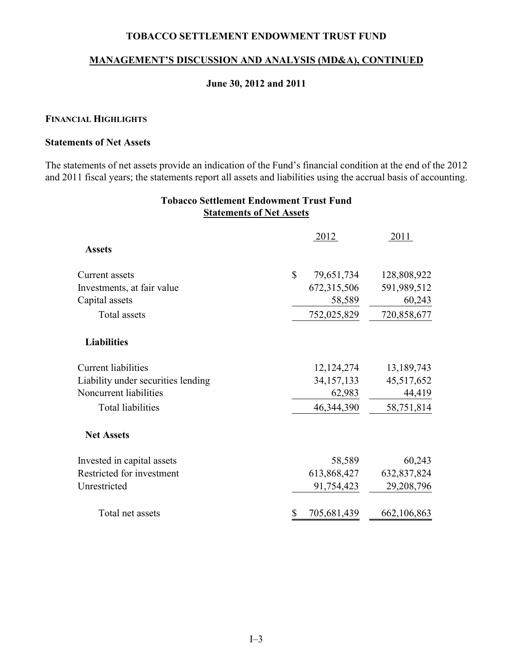### **MANAGEMENT'S DISCUSSION AND ANALYSIS (MD&A), CONTINUED**

### **June 30, 2012 and 2011**

#### **FINANCIAL HIGHLIGHTS**

#### **Statements of Net Assets**

The statements of net assets provide an indication of the Fund's financial condition at the end of the 2012 and 2011 fiscal years; the statements report all assets and liabilities using the accrual basis of accounting.

| <b>Assets</b>                      | $-2012$          | 2011             |
|------------------------------------|------------------|------------------|
| <b>Current assets</b>              | \$<br>79,651,734 | 128,808,922      |
| Investments, at fair value         | 672,315,506      | 591,989,512      |
| Capital assets                     |                  | 60,243<br>58,589 |
| Total assets                       | 752,025,829      | 720,858,677      |
| <b>Liabilities</b>                 |                  |                  |
| <b>Current liabilities</b>         | 12, 124, 274     | 13,189,743       |
| Liability under securities lending | 34, 157, 133     | 45,517,652       |
| Noncurrent liabilities             |                  | 62,983<br>44,419 |
| Total liabilities                  | 46,344,390       | 58,751,814       |
| <b>Net Assets</b>                  |                  |                  |
| Invested in capital assets         |                  | 60,243<br>58,589 |
| Restricted for investment          | 613,868,427      | 632,837,824      |
| Unrestricted                       | 91,754,423       | 29,208,796       |
| Total net assets                   | 705,681,439      | 662, 106, 863    |

# **Tobacco Settlement Endowment Trust Fund Statements of Net Assets**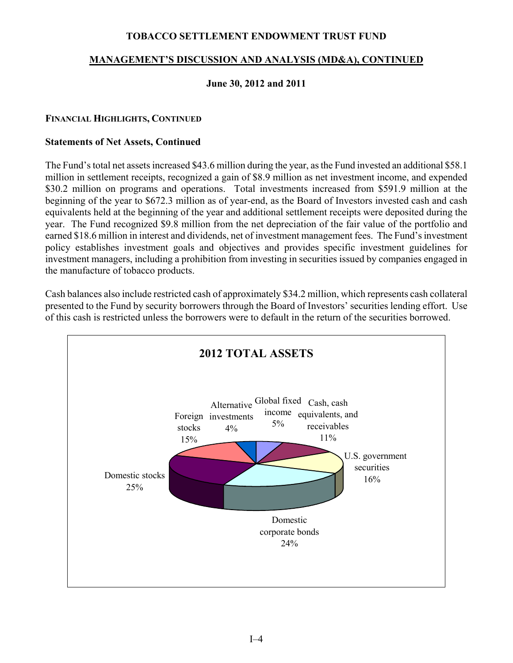### **MANAGEMENT'S DISCUSSION AND ANALYSIS (MD&A), CONTINUED**

### **June 30, 2012 and 2011**

#### **FINANCIAL HIGHLIGHTS, CONTINUED**

#### **Statements of Net Assets, Continued**

The Fund's total net assets increased \$43.6 million during the year, as the Fund invested an additional \$58.1 million in settlement receipts, recognized a gain of \$8.9 million as net investment income, and expended \$30.2 million on programs and operations. Total investments increased from \$591.9 million at the beginning of the year to \$672.3 million as of year-end, as the Board of Investors invested cash and cash equivalents held at the beginning of the year and additional settlement receipts were deposited during the year. The Fund recognized \$9.8 million from the net depreciation of the fair value of the portfolio and earned \$18.6 million in interest and dividends, net of investment management fees. The Fund's investment policy establishes investment goals and objectives and provides specific investment guidelines for investment managers, including a prohibition from investing in securities issued by companies engaged in the manufacture of tobacco products.

Cash balances also include restricted cash of approximately \$34.2 million, which represents cash collateral presented to the Fund by security borrowers through the Board of Investors' securities lending effort. Use of this cash is restricted unless the borrowers were to default in the return of the securities borrowed.

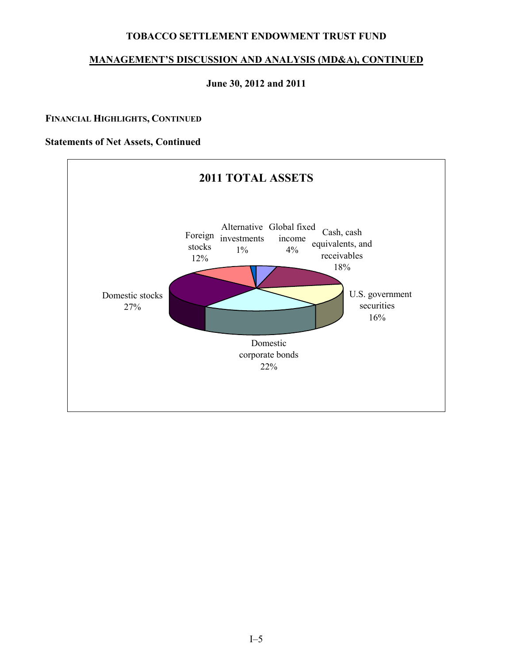# **MANAGEMENT'S DISCUSSION AND ANALYSIS (MD&A), CONTINUED**

# **June 30, 2012 and 2011**

#### **FINANCIAL HIGHLIGHTS, CONTINUED**

# **Statements of Net Assets, Continued**

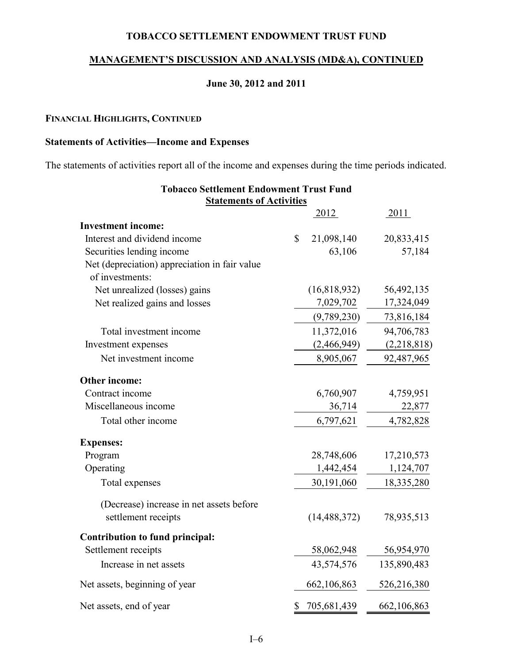### **MANAGEMENT'S DISCUSSION AND ANALYSIS (MD&A), CONTINUED**

# **June 30, 2012 and 2011**

### **FINANCIAL HIGHLIGHTS, CONTINUED**

# **Statements of Activities—Income and Expenses**

The statements of activities report all of the income and expenses during the time periods indicated.

| <b>Statements of Activities</b>               |                   |             |
|-----------------------------------------------|-------------------|-------------|
|                                               | 2012              | 2011        |
| <b>Investment income:</b>                     |                   |             |
| Interest and dividend income                  | \$<br>21,098,140  | 20,833,415  |
| Securities lending income                     | 63,106            | 57,184      |
| Net (depreciation) appreciation in fair value |                   |             |
| of investments:                               |                   |             |
| Net unrealized (losses) gains                 | (16, 818, 932)    | 56,492,135  |
| Net realized gains and losses                 | 7,029,702         | 17,324,049  |
|                                               | (9,789,230)       | 73,816,184  |
| Total investment income                       | 11,372,016        | 94,706,783  |
| Investment expenses                           | (2,466,949)       | (2,218,818) |
| Net investment income                         | 8,905,067         | 92,487,965  |
| Other income:                                 |                   |             |
| Contract income                               | 6,760,907         | 4,759,951   |
| Miscellaneous income                          | 36,714            | 22,877      |
| Total other income                            | 6,797,621         | 4,782,828   |
| <b>Expenses:</b>                              |                   |             |
| Program                                       | 28,748,606        | 17,210,573  |
| Operating                                     | 1,442,454         | 1,124,707   |
| Total expenses                                | 30,191,060        | 18,335,280  |
| (Decrease) increase in net assets before      |                   |             |
| settlement receipts                           | (14, 488, 372)    | 78,935,513  |
| Contribution to fund principal:               |                   |             |
| Settlement receipts                           | 58,062,948        | 56,954,970  |
| Increase in net assets                        | 43,574,576        | 135,890,483 |
| Net assets, beginning of year                 | 662,106,863       | 526,216,380 |
| Net assets, end of year                       | \$<br>705,681,439 | 662,106,863 |

# **Tobacco Settlement Endowment Trust Fund**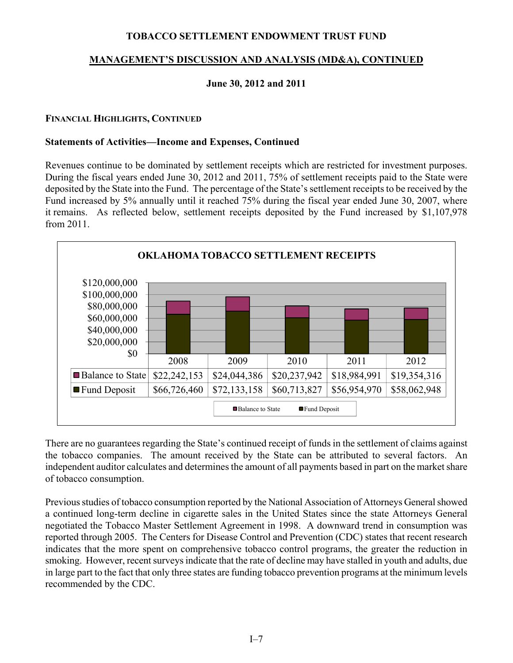# **MANAGEMENT'S DISCUSSION AND ANALYSIS (MD&A), CONTINUED**

# **June 30, 2012 and 2011**

### **FINANCIAL HIGHLIGHTS, CONTINUED**

### **Statements of Activities—Income and Expenses, Continued**

Revenues continue to be dominated by settlement receipts which are restricted for investment purposes. During the fiscal years ended June 30, 2012 and 2011, 75% of settlement receipts paid to the State were deposited by the State into the Fund. The percentage of the State's settlement receipts to be received by the Fund increased by 5% annually until it reached 75% during the fiscal year ended June 30, 2007, where it remains. As reflected below, settlement receipts deposited by the Fund increased by \$1,107,978 from 2011.



There are no guarantees regarding the State's continued receipt of funds in the settlement of claims against the tobacco companies. The amount received by the State can be attributed to several factors. An independent auditor calculates and determines the amount of all payments based in part on the market share of tobacco consumption.

Previous studies of tobacco consumption reported by the National Association of Attorneys General showed a continued long-term decline in cigarette sales in the United States since the state Attorneys General negotiated the Tobacco Master Settlement Agreement in 1998. A downward trend in consumption was reported through 2005. The Centers for Disease Control and Prevention (CDC) states that recent research indicates that the more spent on comprehensive tobacco control programs, the greater the reduction in smoking. However, recent surveys indicate that the rate of decline may have stalled in youth and adults, due in large part to the fact that only three states are funding tobacco prevention programs at the minimum levels recommended by the CDC.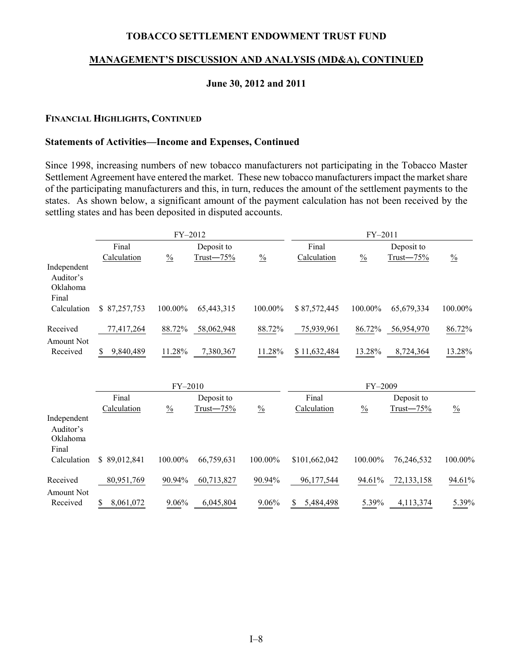### **MANAGEMENT'S DISCUSSION AND ANALYSIS (MD&A), CONTINUED**

### **June 30, 2012 and 2011**

#### **FINANCIAL HIGHLIGHTS, CONTINUED**

#### **Statements of Activities—Income and Expenses, Continued**

Since 1998, increasing numbers of new tobacco manufacturers not participating in the Tobacco Master Settlement Agreement have entered the market. These new tobacco manufacturers impact the market share of the participating manufacturers and this, in turn, reduces the amount of the settlement payments to the states. As shown below, a significant amount of the payment calculation has not been received by the settling states and has been deposited in disputed accounts.

|                   | $FY-2012$    |               |              | $FY-2011$     |              |               |               |               |
|-------------------|--------------|---------------|--------------|---------------|--------------|---------------|---------------|---------------|
|                   | Final        |               | Deposit to   |               | Final        |               | Deposit to    |               |
|                   | Calculation  | $\frac{0}{0}$ | Trust $-75%$ | $\frac{0}{0}$ | Calculation  | $\frac{0}{0}$ | $Trust - 75%$ | $\frac{0}{0}$ |
| Independent       |              |               |              |               |              |               |               |               |
| Auditor's         |              |               |              |               |              |               |               |               |
| Oklahoma          |              |               |              |               |              |               |               |               |
| Final             |              |               |              |               |              |               |               |               |
| Calculation       | \$87,257,753 | 100.00%       | 65,443,315   | $100.00\%$    | \$87,572,445 | 100.00%       | 65,679,334    | 100.00%       |
|                   |              |               |              |               |              |               |               |               |
| Received          | 77,417,264   | 88.72%        | 58,062,948   | 88.72%        | 75,939,961   | 86.72%        | 56,954,970    | 86.72%        |
| <b>Amount Not</b> |              |               |              |               |              |               |               |               |
| Received          | 9,840,489    | 11.28%        | 7,380,367    | 11.28%        | \$11,632,484 | 13.28%        | 8,724,364     | 13.28%        |

|             | $FY-2010$    |               |              |               | $FY-2009$     |               |               |               |
|-------------|--------------|---------------|--------------|---------------|---------------|---------------|---------------|---------------|
|             | Final        |               | Deposit to   |               | Final         |               | Deposit to    |               |
|             | Calculation  | $\frac{0}{0}$ | Trust $-75%$ | $\frac{0}{0}$ | Calculation   | $\frac{0}{0}$ | Trust $-75\%$ | $\frac{0}{0}$ |
| Independent |              |               |              |               |               |               |               |               |
| Auditor's   |              |               |              |               |               |               |               |               |
| Oklahoma    |              |               |              |               |               |               |               |               |
| Final       |              |               |              |               |               |               |               |               |
| Calculation | \$89,012,841 | 100.00%       | 66,759,631   | 100.00%       | \$101,662,042 | 100.00%       | 76,246,532    | $100.00\%$    |
|             |              |               |              |               |               |               |               |               |
| Received    | 80,951,769   | 90.94%        | 60,713,827   | 90.94%        | 96, 177, 544  | 94.61%        | 72,133,158    | 94.61%        |
| Amount Not  |              |               |              |               |               |               |               |               |
| Received    | 8,061,072    | 9.06%         | 6,045,804    | 9.06%         | 5,484,498     | 5.39%         | 4,113,374     | 5.39%         |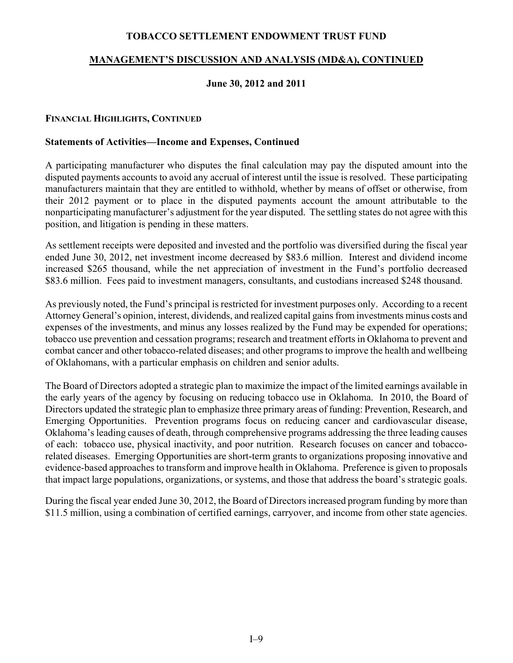### **MANAGEMENT'S DISCUSSION AND ANALYSIS (MD&A), CONTINUED**

### **June 30, 2012 and 2011**

#### **FINANCIAL HIGHLIGHTS, CONTINUED**

#### **Statements of Activities—Income and Expenses, Continued**

A participating manufacturer who disputes the final calculation may pay the disputed amount into the disputed payments accounts to avoid any accrual of interest until the issue is resolved. These participating manufacturers maintain that they are entitled to withhold, whether by means of offset or otherwise, from their 2012 payment or to place in the disputed payments account the amount attributable to the nonparticipating manufacturer's adjustment for the year disputed. The settling states do not agree with this position, and litigation is pending in these matters.

As settlement receipts were deposited and invested and the portfolio was diversified during the fiscal year ended June 30, 2012, net investment income decreased by \$83.6 million. Interest and dividend income increased \$265 thousand, while the net appreciation of investment in the Fund's portfolio decreased \$83.6 million. Fees paid to investment managers, consultants, and custodians increased \$248 thousand.

As previously noted, the Fund's principal is restricted for investment purposes only. According to a recent Attorney General's opinion, interest, dividends, and realized capital gains from investments minus costs and expenses of the investments, and minus any losses realized by the Fund may be expended for operations; tobacco use prevention and cessation programs; research and treatment efforts in Oklahoma to prevent and combat cancer and other tobacco-related diseases; and other programs to improve the health and wellbeing of Oklahomans, with a particular emphasis on children and senior adults.

The Board of Directors adopted a strategic plan to maximize the impact of the limited earnings available in the early years of the agency by focusing on reducing tobacco use in Oklahoma. In 2010, the Board of Directors updated the strategic plan to emphasize three primary areas of funding: Prevention, Research, and Emerging Opportunities. Prevention programs focus on reducing cancer and cardiovascular disease, Oklahoma's leading causes of death, through comprehensive programs addressing the three leading causes of each: tobacco use, physical inactivity, and poor nutrition. Research focuses on cancer and tobaccorelated diseases. Emerging Opportunities are short-term grants to organizations proposing innovative and evidence-based approaches to transform and improve health in Oklahoma. Preference is given to proposals that impact large populations, organizations, or systems, and those that address the board's strategic goals.

During the fiscal year ended June 30, 2012, the Board of Directors increased program funding by more than \$11.5 million, using a combination of certified earnings, carryover, and income from other state agencies.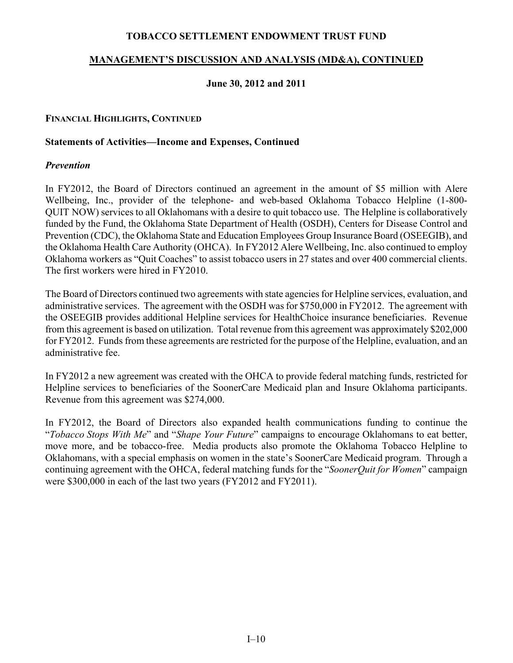### **MANAGEMENT'S DISCUSSION AND ANALYSIS (MD&A), CONTINUED**

### **June 30, 2012 and 2011**

#### **FINANCIAL HIGHLIGHTS, CONTINUED**

#### **Statements of Activities—Income and Expenses, Continued**

#### *Prevention*

In FY2012, the Board of Directors continued an agreement in the amount of \$5 million with Alere Wellbeing, Inc., provider of the telephone- and web-based Oklahoma Tobacco Helpline (1-800- QUIT NOW) services to all Oklahomans with a desire to quit tobacco use. The Helpline is collaboratively funded by the Fund, the Oklahoma State Department of Health (OSDH), Centers for Disease Control and Prevention (CDC), the Oklahoma State and Education Employees Group Insurance Board (OSEEGIB), and the Oklahoma Health Care Authority (OHCA). In FY2012 Alere Wellbeing, Inc. also continued to employ Oklahoma workers as "Quit Coaches" to assist tobacco users in 27 states and over 400 commercial clients. The first workers were hired in FY2010.

The Board of Directors continued two agreements with state agencies for Helpline services, evaluation, and administrative services. The agreement with the OSDH was for \$750,000 in FY2012. The agreement with the OSEEGIB provides additional Helpline services for HealthChoice insurance beneficiaries. Revenue from this agreement is based on utilization. Total revenue from this agreement was approximately \$202,000 for FY2012. Funds from these agreements are restricted for the purpose of the Helpline, evaluation, and an administrative fee.

In FY2012 a new agreement was created with the OHCA to provide federal matching funds, restricted for Helpline services to beneficiaries of the SoonerCare Medicaid plan and Insure Oklahoma participants. Revenue from this agreement was \$274,000.

In FY2012, the Board of Directors also expanded health communications funding to continue the "*Tobacco Stops With Me*" and "*Shape Your Future*" campaigns to encourage Oklahomans to eat better, move more, and be tobacco-free. Media products also promote the Oklahoma Tobacco Helpline to Oklahomans, with a special emphasis on women in the state's SoonerCare Medicaid program. Through a continuing agreement with the OHCA, federal matching funds for the "*SoonerQuit for Women*" campaign were \$300,000 in each of the last two years (FY2012 and FY2011).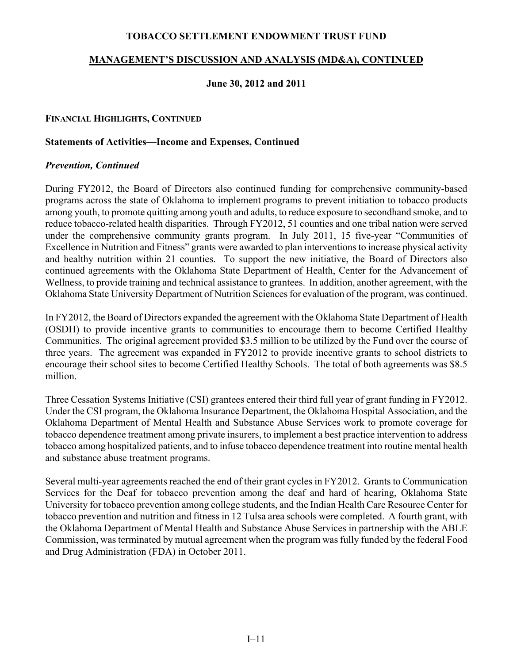### **MANAGEMENT'S DISCUSSION AND ANALYSIS (MD&A), CONTINUED**

### **June 30, 2012 and 2011**

#### **FINANCIAL HIGHLIGHTS, CONTINUED**

#### **Statements of Activities—Income and Expenses, Continued**

#### *Prevention, Continued*

During FY2012, the Board of Directors also continued funding for comprehensive community-based programs across the state of Oklahoma to implement programs to prevent initiation to tobacco products among youth, to promote quitting among youth and adults, to reduce exposure to secondhand smoke, and to reduce tobacco-related health disparities. Through FY2012, 51 counties and one tribal nation were served under the comprehensive community grants program. In July 2011, 15 five-year "Communities of Excellence in Nutrition and Fitness" grants were awarded to plan interventions to increase physical activity and healthy nutrition within 21 counties. To support the new initiative, the Board of Directors also continued agreements with the Oklahoma State Department of Health, Center for the Advancement of Wellness, to provide training and technical assistance to grantees. In addition, another agreement, with the Oklahoma State University Department of Nutrition Sciences for evaluation of the program, was continued.

In FY2012, the Board of Directors expanded the agreement with the Oklahoma State Department of Health (OSDH) to provide incentive grants to communities to encourage them to become Certified Healthy Communities. The original agreement provided \$3.5 million to be utilized by the Fund over the course of three years. The agreement was expanded in FY2012 to provide incentive grants to school districts to encourage their school sites to become Certified Healthy Schools. The total of both agreements was \$8.5 million.

Three Cessation Systems Initiative (CSI) grantees entered their third full year of grant funding in FY2012. Under the CSI program, the Oklahoma Insurance Department, the Oklahoma Hospital Association, and the Oklahoma Department of Mental Health and Substance Abuse Services work to promote coverage for tobacco dependence treatment among private insurers, to implement a best practice intervention to address tobacco among hospitalized patients, and to infuse tobacco dependence treatment into routine mental health and substance abuse treatment programs.

Several multi-year agreements reached the end of their grant cycles in FY2012. Grants to Communication Services for the Deaf for tobacco prevention among the deaf and hard of hearing, Oklahoma State University for tobacco prevention among college students, and the Indian Health Care Resource Center for tobacco prevention and nutrition and fitness in 12 Tulsa area schools were completed. A fourth grant, with the Oklahoma Department of Mental Health and Substance Abuse Services in partnership with the ABLE Commission, was terminated by mutual agreement when the program was fully funded by the federal Food and Drug Administration (FDA) in October 2011.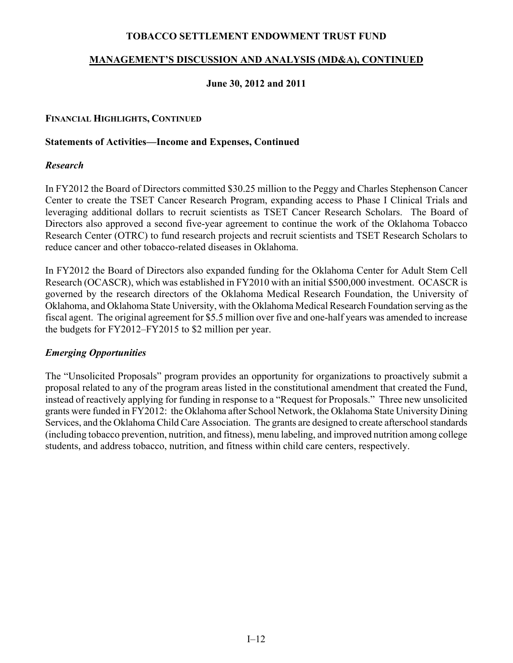### **MANAGEMENT'S DISCUSSION AND ANALYSIS (MD&A), CONTINUED**

### **June 30, 2012 and 2011**

#### **FINANCIAL HIGHLIGHTS, CONTINUED**

#### **Statements of Activities—Income and Expenses, Continued**

#### *Research*

In FY2012 the Board of Directors committed \$30.25 million to the Peggy and Charles Stephenson Cancer Center to create the TSET Cancer Research Program, expanding access to Phase I Clinical Trials and leveraging additional dollars to recruit scientists as TSET Cancer Research Scholars. The Board of Directors also approved a second five-year agreement to continue the work of the Oklahoma Tobacco Research Center (OTRC) to fund research projects and recruit scientists and TSET Research Scholars to reduce cancer and other tobacco-related diseases in Oklahoma.

In FY2012 the Board of Directors also expanded funding for the Oklahoma Center for Adult Stem Cell Research (OCASCR), which was established in FY2010 with an initial \$500,000 investment. OCASCR is governed by the research directors of the Oklahoma Medical Research Foundation, the University of Oklahoma, and Oklahoma State University, with the Oklahoma Medical Research Foundation serving as the fiscal agent. The original agreement for \$5.5 million over five and one-half years was amended to increase the budgets for FY2012–FY2015 to \$2 million per year.

#### *Emerging Opportunities*

The "Unsolicited Proposals" program provides an opportunity for organizations to proactively submit a proposal related to any of the program areas listed in the constitutional amendment that created the Fund, instead of reactively applying for funding in response to a "Request for Proposals." Three new unsolicited grants were funded in FY2012: the Oklahoma after School Network, the Oklahoma State University Dining Services, and the Oklahoma Child Care Association. The grants are designed to create afterschool standards (including tobacco prevention, nutrition, and fitness), menu labeling, and improved nutrition among college students, and address tobacco, nutrition, and fitness within child care centers, respectively.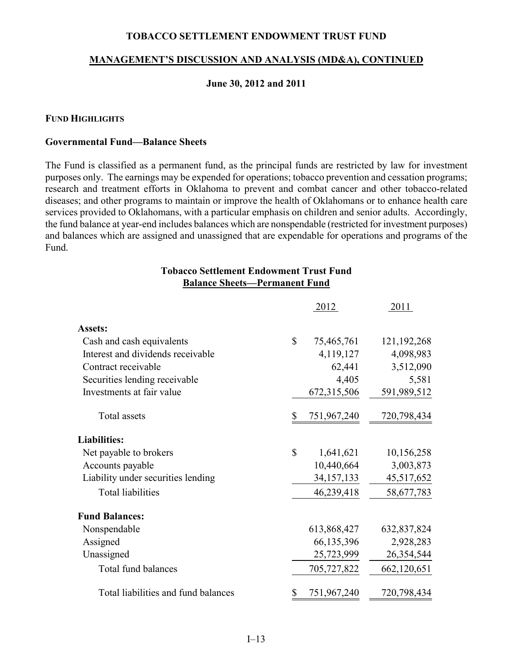#### **MANAGEMENT'S DISCUSSION AND ANALYSIS (MD&A), CONTINUED**

#### **June 30, 2012 and 2011**

#### **FUND HIGHLIGHTS**

#### **Governmental Fund—Balance Sheets**

The Fund is classified as a permanent fund, as the principal funds are restricted by law for investment purposes only. The earnings may be expended for operations; tobacco prevention and cessation programs; research and treatment efforts in Oklahoma to prevent and combat cancer and other tobacco-related diseases; and other programs to maintain or improve the health of Oklahomans or to enhance health care services provided to Oklahomans, with a particular emphasis on children and senior adults. Accordingly, the fund balance at year-end includes balances which are nonspendable (restricted for investment purposes) and balances which are assigned and unassigned that are expendable for operations and programs of the Fund.

# **Tobacco Settlement Endowment Trust Fund Balance Sheets—Permanent Fund**

|                                     |              | 2012         | 2011          |
|-------------------------------------|--------------|--------------|---------------|
| <b>Assets:</b>                      |              |              |               |
| Cash and cash equivalents           | $\mathbb{S}$ | 75,465,761   | 121, 192, 268 |
| Interest and dividends receivable   |              | 4,119,127    | 4,098,983     |
| Contract receivable                 |              | 62,441       | 3,512,090     |
| Securities lending receivable       |              | 4,405        | 5,581         |
| Investments at fair value           |              | 672,315,506  | 591,989,512   |
| Total assets                        | \$           | 751,967,240  | 720,798,434   |
| <b>Liabilities:</b>                 |              |              |               |
| Net payable to brokers              | $\mathbb{S}$ | 1,641,621    | 10,156,258    |
| Accounts payable                    |              | 10,440,664   | 3,003,873     |
| Liability under securities lending  |              | 34, 157, 133 | 45,517,652    |
| Total liabilities                   |              | 46,239,418   | 58,677,783    |
| <b>Fund Balances:</b>               |              |              |               |
| Nonspendable                        |              | 613,868,427  | 632,837,824   |
| Assigned                            |              | 66,135,396   | 2,928,283     |
| Unassigned                          |              | 25,723,999   | 26,354,544    |
| Total fund balances                 |              | 705,727,822  | 662,120,651   |
| Total liabilities and fund balances | \$           | 751,967,240  | 720,798,434   |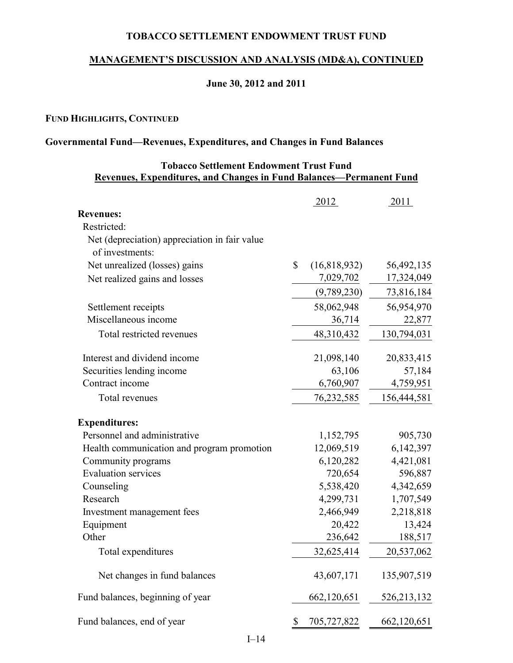# **MANAGEMENT'S DISCUSSION AND ANALYSIS (MD&A), CONTINUED**

### **June 30, 2012 and 2011**

#### **FUND HIGHLIGHTS, CONTINUED**

# **Governmental Fund—Revenues, Expenditures, and Changes in Fund Balances**

#### **Tobacco Settlement Endowment Trust Fund Revenues, Expenditures, and Changes in Fund Balances—Permanent Fund**

|                                               | 2012                                     | 2011          |
|-----------------------------------------------|------------------------------------------|---------------|
| <b>Revenues:</b>                              |                                          |               |
| Restricted:                                   |                                          |               |
| Net (depreciation) appreciation in fair value |                                          |               |
| of investments:                               |                                          |               |
| Net unrealized (losses) gains                 | $\mathbb{S}$<br>(16, 818, 932)           | 56,492,135    |
| Net realized gains and losses                 | 7,029,702                                | 17,324,049    |
|                                               | (9,789,230)                              | 73,816,184    |
| Settlement receipts                           | 58,062,948                               | 56,954,970    |
| Miscellaneous income                          | 36,714                                   | 22,877        |
| Total restricted revenues                     | 48,310,432                               | 130,794,031   |
| Interest and dividend income                  | 21,098,140                               | 20,833,415    |
| Securities lending income                     | 63,106                                   | 57,184        |
| Contract income                               | 6,760,907                                | 4,759,951     |
| Total revenues                                | 76,232,585                               | 156,444,581   |
| <b>Expenditures:</b>                          |                                          |               |
| Personnel and administrative                  | 1,152,795                                | 905,730       |
| Health communication and program promotion    | 12,069,519                               | 6,142,397     |
| Community programs                            | 6,120,282                                | 4,421,081     |
| <b>Evaluation services</b>                    | 720,654                                  | 596,887       |
| Counseling                                    | 5,538,420                                | 4,342,659     |
| Research                                      | 4,299,731                                | 1,707,549     |
| Investment management fees                    | 2,466,949                                | 2,218,818     |
| Equipment                                     | 20,422                                   | 13,424        |
| Other                                         | 236,642                                  | 188,517       |
| Total expenditures                            | 32,625,414                               | 20,537,062    |
| Net changes in fund balances                  | 43,607,171                               | 135,907,519   |
| Fund balances, beginning of year              | 662,120,651                              | 526, 213, 132 |
| Fund balances, end of year                    | $\boldsymbol{\mathsf{S}}$<br>705,727,822 | 662,120,651   |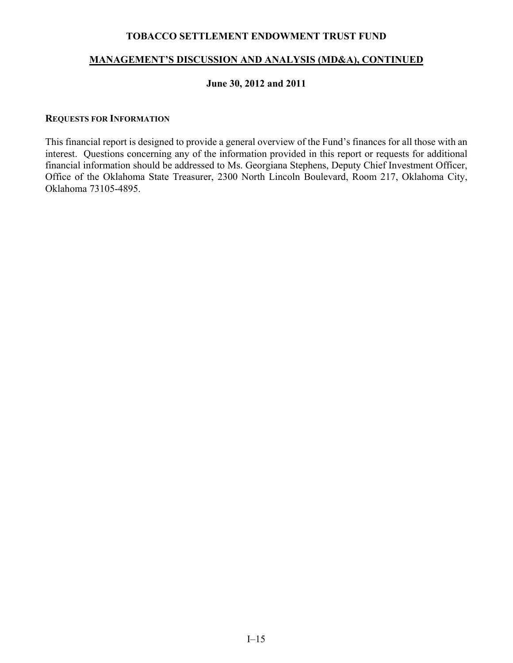### **MANAGEMENT'S DISCUSSION AND ANALYSIS (MD&A), CONTINUED**

### **June 30, 2012 and 2011**

#### **REQUESTS FOR INFORMATION**

This financial report is designed to provide a general overview of the Fund's finances for all those with an interest. Questions concerning any of the information provided in this report or requests for additional financial information should be addressed to Ms. Georgiana Stephens, Deputy Chief Investment Officer, Office of the Oklahoma State Treasurer, 2300 North Lincoln Boulevard, Room 217, Oklahoma City, Oklahoma 73105-4895.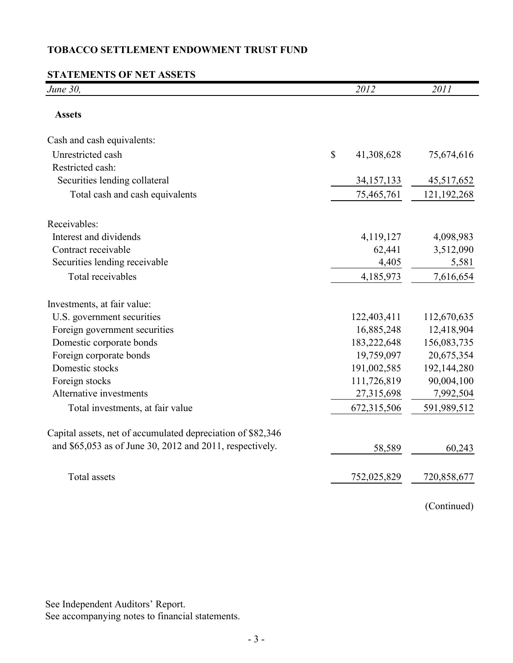# **STATEMENTS OF NET ASSETS**

| June 30,                                                    |                           | 2012         | 2011        |
|-------------------------------------------------------------|---------------------------|--------------|-------------|
| <b>Assets</b>                                               |                           |              |             |
| Cash and cash equivalents:                                  |                           |              |             |
| Unrestricted cash                                           | $\boldsymbol{\mathsf{S}}$ | 41,308,628   | 75,674,616  |
| Restricted cash:                                            |                           |              |             |
| Securities lending collateral                               |                           | 34, 157, 133 | 45,517,652  |
| Total cash and cash equivalents                             |                           | 75,465,761   | 121,192,268 |
| Receivables:                                                |                           |              |             |
| Interest and dividends                                      |                           | 4,119,127    | 4,098,983   |
| Contract receivable                                         |                           | 62,441       | 3,512,090   |
| Securities lending receivable                               |                           | 4,405        | 5,581       |
| Total receivables                                           |                           | 4,185,973    | 7,616,654   |
| Investments, at fair value:                                 |                           |              |             |
| U.S. government securities                                  |                           | 122,403,411  | 112,670,635 |
| Foreign government securities                               |                           | 16,885,248   | 12,418,904  |
| Domestic corporate bonds                                    |                           | 183,222,648  | 156,083,735 |
| Foreign corporate bonds                                     |                           | 19,759,097   | 20,675,354  |
| Domestic stocks                                             |                           | 191,002,585  | 192,144,280 |
| Foreign stocks                                              |                           | 111,726,819  | 90,004,100  |
| Alternative investments                                     |                           | 27,315,698   | 7,992,504   |
| Total investments, at fair value                            |                           | 672,315,506  | 591,989,512 |
| Capital assets, net of accumulated depreciation of \$82,346 |                           |              |             |
| and \$65,053 as of June 30, 2012 and 2011, respectively.    |                           | 58,589       | 60,243      |
| <b>Total</b> assets                                         |                           | 752,025,829  | 720,858,677 |
|                                                             |                           |              | (Continued) |

See Independent Auditors' Report.

See accompanying notes to financial statements.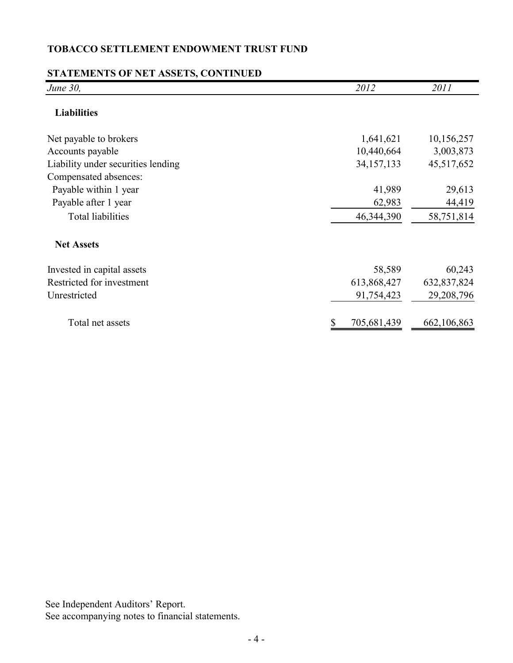# **STATEMENTS OF NET ASSETS, CONTINUED**

| June 30,                           | 2012         | 2011        |
|------------------------------------|--------------|-------------|
| <b>Liabilities</b>                 |              |             |
| Net payable to brokers             | 1,641,621    | 10,156,257  |
| Accounts payable                   | 10,440,664   | 3,003,873   |
| Liability under securities lending | 34, 157, 133 | 45,517,652  |
| Compensated absences:              |              |             |
| Payable within 1 year              | 41,989       | 29,613      |
| Payable after 1 year               | 62,983       | 44,419      |
| <b>Total liabilities</b>           | 46,344,390   | 58,751,814  |
| <b>Net Assets</b>                  |              |             |
| Invested in capital assets         | 58,589       | 60,243      |
| Restricted for investment          | 613,868,427  | 632,837,824 |
| Unrestricted                       | 91,754,423   | 29,208,796  |
| Total net assets                   | 705,681,439  | 662,106,863 |

See Independent Auditors' Report. See accompanying notes to financial statements.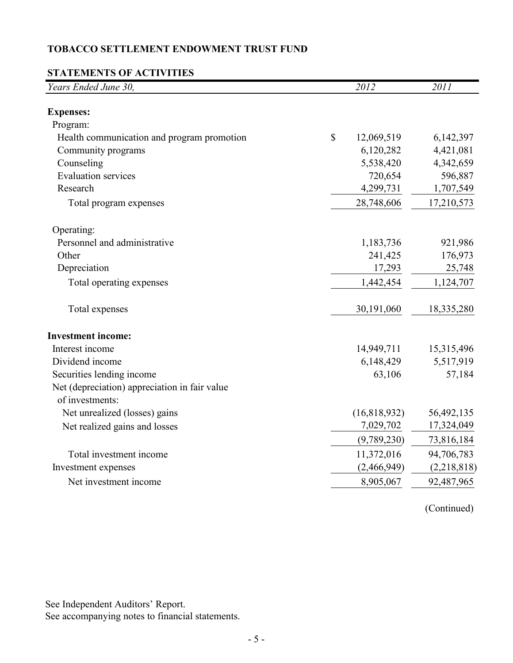# *Years Ended June 30, 2012 2011* **Expenses:** Program: Health communication and program promotion  $\qquad$  \$ 12,069,519 6,142,397 Community programs 6,120,282 4,421,081 Counseling 5,538,420 4,342,659 Evaluation services 720,654 596,887 Research 1,707,549 Total program expenses 28,748,606 17,210,573 Operating: Personnel and administrative 1,183,736 921,986 Other 241,425 176,973 Depreciation 25,748 Total operating expenses 1,442,454 1,124,707 Total expenses 30,191,060 18,335,280 **Investment income:** Interest income 14,949,711 15,315,496 Dividend income 6,148,429 5,517,919 Securities lending income 63,106 57,184 Net (depreciation) appreciation in fair value of investments: Net unrealized (losses) gains (16,818,932) 56,492,135 Net realized gains and losses 17,029,702 17,324,049 (9,789,230) 73,816,184 Total investment income 11,372,016 94,706,783 Investment expenses (2,218,818) (2,466,949) Net investment income 8,905,067 92,487,965

# **STATEMENTS OF ACTIVITIES**

(Continued)

See Independent Auditors' Report.

See accompanying notes to financial statements.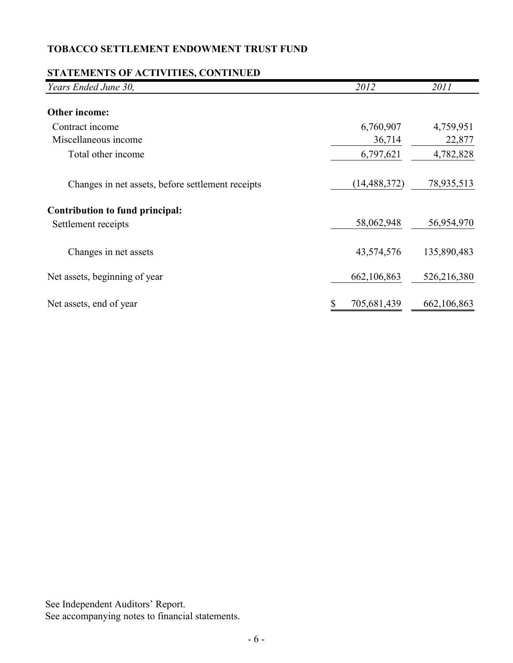# **STATEMENTS OF ACTIVITIES, CONTINUED**

| Years Ended June 30,                                   | 2012           | 2011        |
|--------------------------------------------------------|----------------|-------------|
| <b>Other income:</b>                                   |                |             |
| Contract income                                        | 6,760,907      | 4,759,951   |
| Miscellaneous income                                   | 36,714         | 22,877      |
| Total other income                                     | 6,797,621      | 4,782,828   |
| Changes in net assets, before settlement receipts      | (14, 488, 372) | 78,935,513  |
| Contribution to fund principal:<br>Settlement receipts | 58,062,948     | 56,954,970  |
| Changes in net assets                                  | 43,574,576     | 135,890,483 |
| Net assets, beginning of year                          | 662,106,863    | 526,216,380 |
| Net assets, end of year                                | 705,681,439    | 662,106,863 |

See accompanying notes to financial statements. See Independent Auditors' Report.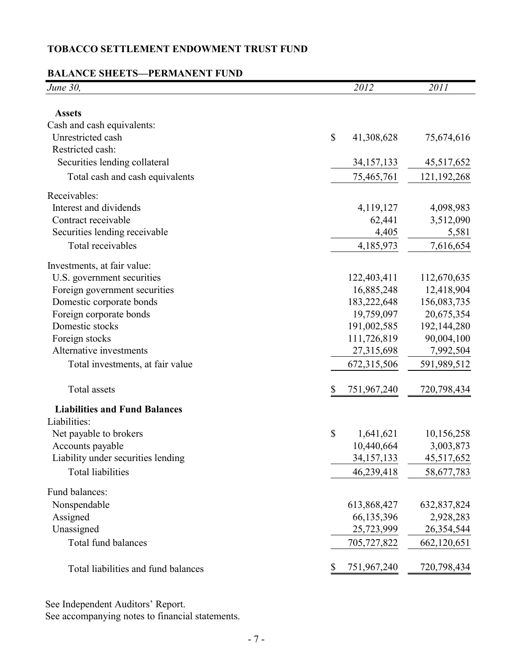# **BALANCE SHEETS—PERMANENT FUND**

| June 30,                                        | 2012              | 2011          |
|-------------------------------------------------|-------------------|---------------|
|                                                 |                   |               |
| <b>Assets</b>                                   |                   |               |
| Cash and cash equivalents:<br>Unrestricted cash | \$<br>41,308,628  | 75,674,616    |
| Restricted cash:                                |                   |               |
| Securities lending collateral                   | 34, 157, 133      | 45,517,652    |
|                                                 |                   |               |
| Total cash and cash equivalents                 | 75,465,761        | 121, 192, 268 |
| Receivables:                                    |                   |               |
| Interest and dividends                          | 4,119,127         | 4,098,983     |
| Contract receivable                             | 62,441            | 3,512,090     |
| Securities lending receivable                   | 4,405             | 5,581         |
| Total receivables                               | 4,185,973         | 7,616,654     |
| Investments, at fair value:                     |                   |               |
| U.S. government securities                      | 122,403,411       | 112,670,635   |
| Foreign government securities                   | 16,885,248        | 12,418,904    |
| Domestic corporate bonds                        | 183,222,648       | 156,083,735   |
| Foreign corporate bonds                         | 19,759,097        | 20,675,354    |
| Domestic stocks                                 | 191,002,585       | 192,144,280   |
| Foreign stocks                                  | 111,726,819       | 90,004,100    |
| Alternative investments                         | 27,315,698        | 7,992,504     |
| Total investments, at fair value                | 672,315,506       | 591,989,512   |
| Total assets                                    | \$<br>751,967,240 | 720,798,434   |
| <b>Liabilities and Fund Balances</b>            |                   |               |
| Liabilities:                                    |                   |               |
| Net payable to brokers                          | \$<br>1,641,621   | 10,156,258    |
| Accounts payable                                | 10,440,664        | 3,003,873     |
| Liability under securities lending              | 34, 157, 133      | 45,517,652    |
| <b>Total liabilities</b>                        | 46,239,418        | 58,677,783    |
| Fund balances:                                  |                   |               |
| Nonspendable                                    | 613,868,427       | 632,837,824   |
| Assigned                                        | 66,135,396        | 2,928,283     |
| Unassigned                                      | 25,723,999        | 26,354,544    |
| Total fund balances                             | 705,727,822       | 662,120,651   |
| Total liabilities and fund balances             | 751,967,240<br>Ÿ  | 720,798,434   |

See Independent Auditors' Report.

See accompanying notes to financial statements.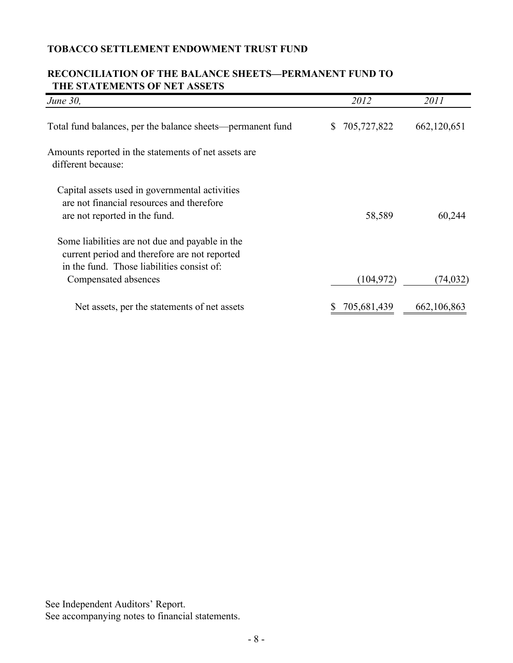# **RECONCILIATION OF THE BALANCE SHEETS—PERMANENT FUND TO THE STATEMENTS OF NET ASSETS**

| June 30,                                                                                                                                       | 2012              | <i>2011</i>   |
|------------------------------------------------------------------------------------------------------------------------------------------------|-------------------|---------------|
| Total fund balances, per the balance sheets—permanent fund                                                                                     | 705,727,822<br>S. | 662,120,651   |
| Amounts reported in the statements of net assets are.<br>different because:                                                                    |                   |               |
| Capital assets used in governmental activities<br>are not financial resources and therefore<br>are not reported in the fund.                   | 58,589            | 60,244        |
| Some liabilities are not due and payable in the<br>current period and therefore are not reported<br>in the fund. Those liabilities consist of: |                   |               |
| Compensated absences                                                                                                                           | (104, 972)        | (74, 032)     |
| Net assets, per the statements of net assets                                                                                                   | 705,681,439       | 662, 106, 863 |

See accompanying notes to financial statements. See Independent Auditors' Report.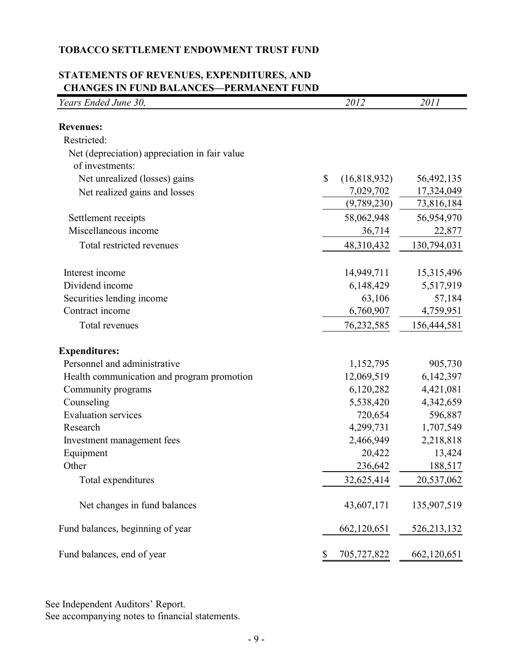# **STATEMENTS OF REVENUES, EXPENDITURES, AND CHANGES IN FUND BALANCES—PERMANENT FUND**

| Years Ended June 30,                          | 2012               | 2011        |
|-----------------------------------------------|--------------------|-------------|
| <b>Revenues:</b>                              |                    |             |
| Restricted:                                   |                    |             |
| Net (depreciation) appreciation in fair value |                    |             |
| of investments:                               |                    |             |
| Net unrealized (losses) gains                 | \$<br>(16,818,932) | 56,492,135  |
| Net realized gains and losses                 | 7,029,702          | 17,324,049  |
|                                               | (9,789,230)        | 73,816,184  |
| Settlement receipts                           | 58,062,948         | 56,954,970  |
| Miscellaneous income                          | 36,714             | 22,877      |
| Total restricted revenues                     | 48,310,432         | 130,794,031 |
|                                               |                    |             |
| Interest income                               | 14,949,711         | 15,315,496  |
| Dividend income                               | 6,148,429          | 5,517,919   |
| Securities lending income                     | 63,106             | 57,184      |
| Contract income                               | 6,760,907          | 4,759,951   |
| Total revenues                                | 76,232,585         | 156,444,581 |
| <b>Expenditures:</b>                          |                    |             |
| Personnel and administrative                  | 1,152,795          | 905,730     |
| Health communication and program promotion    | 12,069,519         | 6,142,397   |
| Community programs                            | 6,120,282          | 4,421,081   |
| Counseling                                    | 5,538,420          | 4,342,659   |
| <b>Evaluation services</b>                    | 720,654            | 596,887     |
| Research                                      | 4,299,731          | 1,707,549   |
| Investment management fees                    | 2,466,949          | 2,218,818   |
| Equipment                                     | 20,422             | 13,424      |
| Other                                         | 236,642            | 188,517     |
| Total expenditures                            | 32,625,414         | 20,537,062  |
| Net changes in fund balances                  | 43,607,171         | 135,907,519 |
| Fund balances, beginning of year              | 662,120,651        | 526,213,132 |
| Fund balances, end of year                    | \$<br>705,727,822  | 662,120,651 |

See Independent Auditors' Report.

See accompanying notes to financial statements.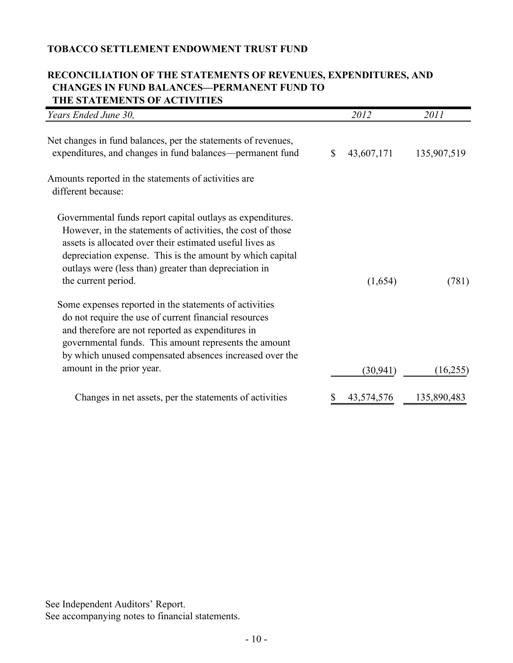# **RECONCILIATION OF THE STATEMENTS OF REVENUES, EXPENDITURES, AND CHANGES IN FUND BALANCES—PERMANENT FUND TO THE STATEMENTS OF ACTIVITIES**

| Years Ended June 30,                                                                                                                                                                                                                                                                                                               | 2012 |            | <i>2011</i> |  |
|------------------------------------------------------------------------------------------------------------------------------------------------------------------------------------------------------------------------------------------------------------------------------------------------------------------------------------|------|------------|-------------|--|
| Net changes in fund balances, per the statements of revenues,<br>expenditures, and changes in fund balances—permanent fund                                                                                                                                                                                                         | \$   | 43,607,171 | 135,907,519 |  |
| Amounts reported in the statements of activities are.<br>different because:                                                                                                                                                                                                                                                        |      |            |             |  |
| Governmental funds report capital outlays as expenditures.<br>However, in the statements of activities, the cost of those<br>assets is allocated over their estimated useful lives as<br>depreciation expense. This is the amount by which capital<br>outlays were (less than) greater than depreciation in<br>the current period. |      | (1,654)    | (781)       |  |
| Some expenses reported in the statements of activities<br>do not require the use of current financial resources<br>and therefore are not reported as expenditures in<br>governmental funds. This amount represents the amount<br>by which unused compensated absences increased over the                                           |      |            |             |  |
| amount in the prior year.                                                                                                                                                                                                                                                                                                          |      | (30, 941)  | (16,255)    |  |
| Changes in net assets, per the statements of activities                                                                                                                                                                                                                                                                            |      | 43,574,576 | 135,890,483 |  |

See Independent Auditors' Report. See accompanying notes to financial statements.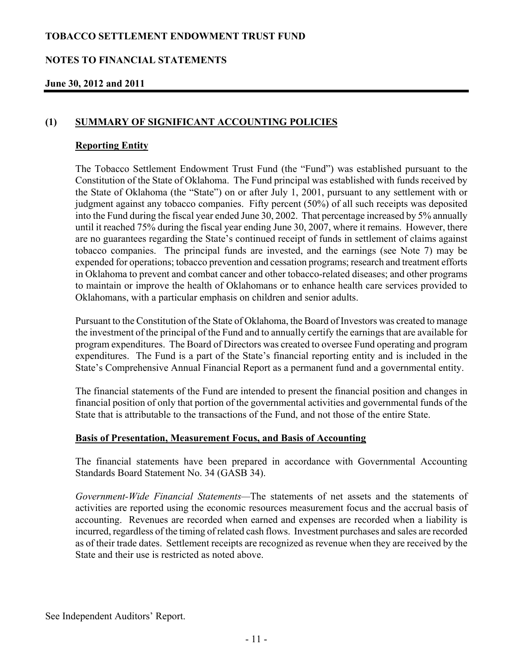# **NOTES TO FINANCIAL STATEMENTS**

# **June 30, 2012 and 2011**

# **(1) SUMMARY OF SIGNIFICANT ACCOUNTING POLICIES**

### **Reporting Entity**

The Tobacco Settlement Endowment Trust Fund (the "Fund") was established pursuant to the Constitution of the State of Oklahoma. The Fund principal was established with funds received by the State of Oklahoma (the "State") on or after July 1, 2001, pursuant to any settlement with or judgment against any tobacco companies. Fifty percent (50%) of all such receipts was deposited into the Fund during the fiscal year ended June 30, 2002. That percentage increased by 5% annually until it reached 75% during the fiscal year ending June 30, 2007, where it remains. However, there are no guarantees regarding the State's continued receipt of funds in settlement of claims against tobacco companies. The principal funds are invested, and the earnings (see Note 7) may be expended for operations; tobacco prevention and cessation programs; research and treatment efforts in Oklahoma to prevent and combat cancer and other tobacco-related diseases; and other programs to maintain or improve the health of Oklahomans or to enhance health care services provided to Oklahomans, with a particular emphasis on children and senior adults.

Pursuant to the Constitution of the State of Oklahoma, the Board of Investors was created to manage the investment of the principal of the Fund and to annually certify the earnings that are available for program expenditures. The Board of Directors was created to oversee Fund operating and program expenditures. The Fund is a part of the State's financial reporting entity and is included in the State's Comprehensive Annual Financial Report as a permanent fund and a governmental entity.

The financial statements of the Fund are intended to present the financial position and changes in financial position of only that portion of the governmental activities and governmental funds of the State that is attributable to the transactions of the Fund, and not those of the entire State.

# **Basis of Presentation, Measurement Focus, and Basis of Accounting**

The financial statements have been prepared in accordance with Governmental Accounting Standards Board Statement No. 34 (GASB 34).

*Government-Wide Financial Statements—*The statements of net assets and the statements of activities are reported using the economic resources measurement focus and the accrual basis of accounting. Revenues are recorded when earned and expenses are recorded when a liability is incurred, regardless of the timing of related cash flows. Investment purchases and sales are recorded as of their trade dates. Settlement receipts are recognized as revenue when they are received by the State and their use is restricted as noted above.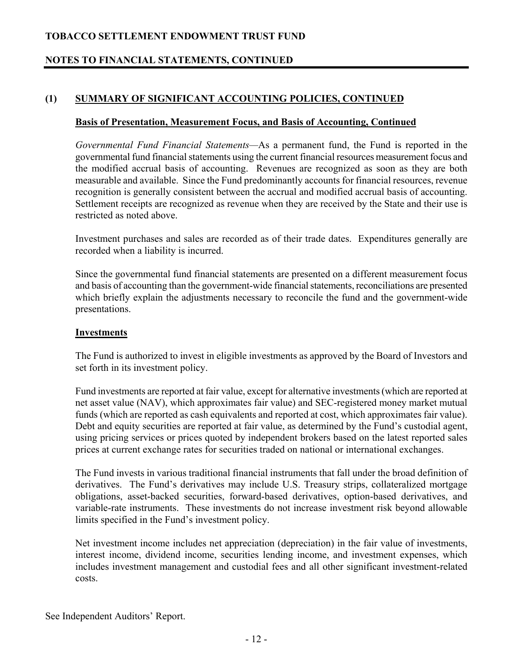# **NOTES TO FINANCIAL STATEMENTS, CONTINUED**

# **(1) SUMMARY OF SIGNIFICANT ACCOUNTING POLICIES, CONTINUED**

### **Basis of Presentation, Measurement Focus, and Basis of Accounting, Continued**

*Governmental Fund Financial Statements—*As a permanent fund, the Fund is reported in the governmental fund financial statements using the current financial resources measurement focus and the modified accrual basis of accounting. Revenues are recognized as soon as they are both measurable and available. Since the Fund predominantly accounts for financial resources, revenue recognition is generally consistent between the accrual and modified accrual basis of accounting. Settlement receipts are recognized as revenue when they are received by the State and their use is restricted as noted above.

Investment purchases and sales are recorded as of their trade dates. Expenditures generally are recorded when a liability is incurred.

Since the governmental fund financial statements are presented on a different measurement focus and basis of accounting than the government-wide financial statements, reconciliations are presented which briefly explain the adjustments necessary to reconcile the fund and the government-wide presentations.

#### **Investments**

The Fund is authorized to invest in eligible investments as approved by the Board of Investors and set forth in its investment policy.

Fund investments are reported at fair value, except for alternative investments (which are reported at net asset value (NAV), which approximates fair value) and SEC-registered money market mutual funds (which are reported as cash equivalents and reported at cost, which approximates fair value). Debt and equity securities are reported at fair value, as determined by the Fund's custodial agent, using pricing services or prices quoted by independent brokers based on the latest reported sales prices at current exchange rates for securities traded on national or international exchanges.

The Fund invests in various traditional financial instruments that fall under the broad definition of derivatives. The Fund's derivatives may include U.S. Treasury strips, collateralized mortgage obligations, asset-backed securities, forward-based derivatives, option-based derivatives, and variable-rate instruments. These investments do not increase investment risk beyond allowable limits specified in the Fund's investment policy.

Net investment income includes net appreciation (depreciation) in the fair value of investments, interest income, dividend income, securities lending income, and investment expenses, which includes investment management and custodial fees and all other significant investment-related costs.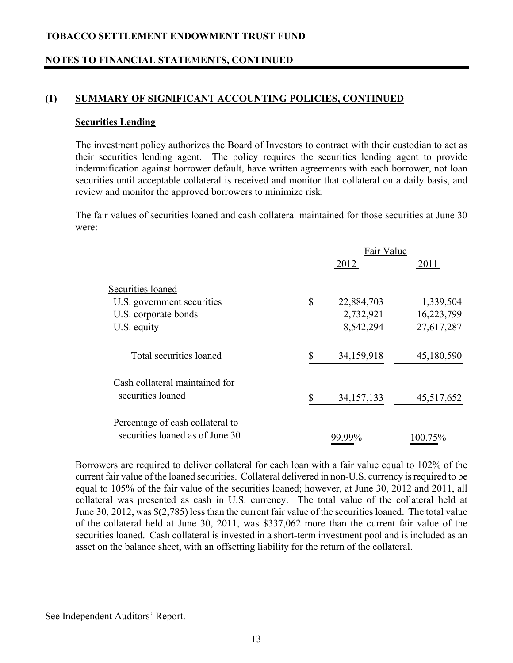# **NOTES TO FINANCIAL STATEMENTS, CONTINUED**

### **(1) SUMMARY OF SIGNIFICANT ACCOUNTING POLICIES, CONTINUED**

#### **Securities Lending**

The investment policy authorizes the Board of Investors to contract with their custodian to act as their securities lending agent. The policy requires the securities lending agent to provide indemnification against borrower default, have written agreements with each borrower, not loan securities until acceptable collateral is received and monitor that collateral on a daily basis, and review and monitor the approved borrowers to minimize risk.

The fair values of securities loaned and cash collateral maintained for those securities at June 30 were:

|                                                                     | Fair Value |              |            |  |
|---------------------------------------------------------------------|------------|--------------|------------|--|
|                                                                     |            | 2012         | 2011       |  |
| Securities loaned                                                   |            |              |            |  |
| U.S. government securities                                          | \$         | 22,884,703   | 1,339,504  |  |
| U.S. corporate bonds                                                |            | 2,732,921    | 16,223,799 |  |
| U.S. equity                                                         |            | 8,542,294    | 27,617,287 |  |
| Total securities loaned                                             | S          | 34,159,918   | 45,180,590 |  |
| Cash collateral maintained for                                      |            |              |            |  |
| securities loaned                                                   | S          | 34, 157, 133 | 45,517,652 |  |
| Percentage of cash collateral to<br>securities loaned as of June 30 |            | 99.99%       | 100.75%    |  |

Borrowers are required to deliver collateral for each loan with a fair value equal to 102% of the current fair value of the loaned securities. Collateral delivered in non-U.S. currency is required to be equal to 105% of the fair value of the securities loaned; however, at June 30, 2012 and 2011, all collateral was presented as cash in U.S. currency. The total value of the collateral held at June 30, 2012, was \$(2,785) less than the current fair value of the securities loaned. The total value of the collateral held at June 30, 2011, was \$337,062 more than the current fair value of the securities loaned. Cash collateral is invested in a short-term investment pool and is included as an asset on the balance sheet, with an offsetting liability for the return of the collateral.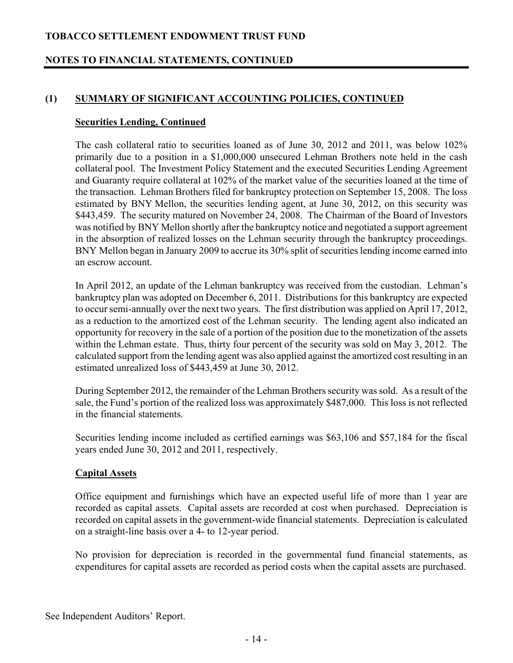# **NOTES TO FINANCIAL STATEMENTS, CONTINUED**

# **(1) SUMMARY OF SIGNIFICANT ACCOUNTING POLICIES, CONTINUED**

### **Securities Lending, Continued**

The cash collateral ratio to securities loaned as of June 30, 2012 and 2011, was below 102% primarily due to a position in a \$1,000,000 unsecured Lehman Brothers note held in the cash collateral pool. The Investment Policy Statement and the executed Securities Lending Agreement and Guaranty require collateral at 102% of the market value of the securities loaned at the time of the transaction. Lehman Brothers filed for bankruptcy protection on September 15, 2008. The loss estimated by BNY Mellon, the securities lending agent, at June 30, 2012, on this security was \$443,459. The security matured on November 24, 2008. The Chairman of the Board of Investors was notified by BNY Mellon shortly after the bankruptcy notice and negotiated a support agreement in the absorption of realized losses on the Lehman security through the bankruptcy proceedings. BNY Mellon began in January 2009 to accrue its 30% split of securities lending income earned into an escrow account.

In April 2012, an update of the Lehman bankruptcy was received from the custodian. Lehman's bankruptcy plan was adopted on December 6, 2011. Distributions for this bankruptcy are expected to occur semi-annually over the next two years. The first distribution was applied on April 17, 2012, as a reduction to the amortized cost of the Lehman security. The lending agent also indicated an opportunity for recovery in the sale of a portion of the position due to the monetization of the assets within the Lehman estate. Thus, thirty four percent of the security was sold on May 3, 2012. The calculated support from the lending agent was also applied against the amortized cost resulting in an estimated unrealized loss of \$443,459 at June 30, 2012.

During September 2012, the remainder of the Lehman Brothers security was sold. As a result of the sale, the Fund's portion of the realized loss was approximately \$487,000. This loss is not reflected in the financial statements.

Securities lending income included as certified earnings was \$63,106 and \$57,184 for the fiscal years ended June 30, 2012 and 2011, respectively.

#### **Capital Assets**

Office equipment and furnishings which have an expected useful life of more than 1 year are recorded as capital assets. Capital assets are recorded at cost when purchased. Depreciation is recorded on capital assets in the government-wide financial statements. Depreciation is calculated on a straight-line basis over a 4- to 12-year period.

No provision for depreciation is recorded in the governmental fund financial statements, as expenditures for capital assets are recorded as period costs when the capital assets are purchased.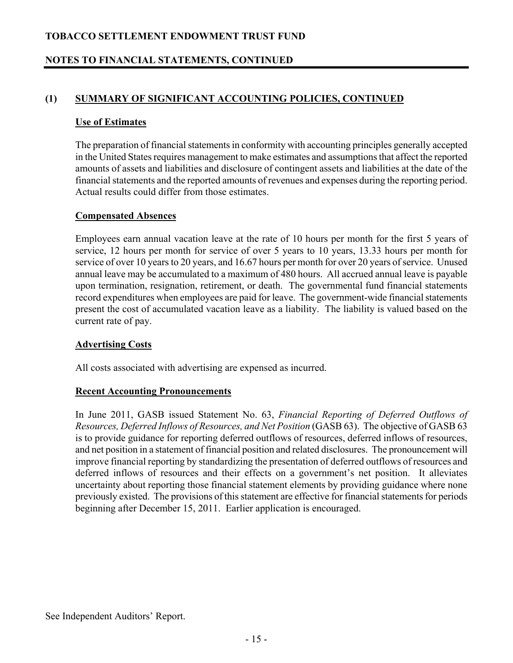# **NOTES TO FINANCIAL STATEMENTS, CONTINUED**

# **(1) SUMMARY OF SIGNIFICANT ACCOUNTING POLICIES, CONTINUED**

### **Use of Estimates**

The preparation of financial statements in conformity with accounting principles generally accepted in the United States requires management to make estimates and assumptions that affect the reported amounts of assets and liabilities and disclosure of contingent assets and liabilities at the date of the financial statements and the reported amounts of revenues and expenses during the reporting period. Actual results could differ from those estimates.

### **Compensated Absences**

Employees earn annual vacation leave at the rate of 10 hours per month for the first 5 years of service, 12 hours per month for service of over 5 years to 10 years, 13.33 hours per month for service of over 10 years to 20 years, and 16.67 hours per month for over 20 years of service. Unused annual leave may be accumulated to a maximum of 480 hours. All accrued annual leave is payable upon termination, resignation, retirement, or death. The governmental fund financial statements record expenditures when employees are paid for leave. The government-wide financial statements present the cost of accumulated vacation leave as a liability. The liability is valued based on the current rate of pay.

# **Advertising Costs**

All costs associated with advertising are expensed as incurred.

#### **Recent Accounting Pronouncements**

In June 2011, GASB issued Statement No. 63, *Financial Reporting of Deferred Outflows of Resources, Deferred Inflows of Resources, and Net Position* (GASB 63). The objective of GASB 63 is to provide guidance for reporting deferred outflows of resources, deferred inflows of resources, and net position in a statement of financial position and related disclosures. The pronouncement will improve financial reporting by standardizing the presentation of deferred outflows of resources and deferred inflows of resources and their effects on a government's net position. It alleviates uncertainty about reporting those financial statement elements by providing guidance where none previously existed. The provisions of this statement are effective for financial statements for periods beginning after December 15, 2011. Earlier application is encouraged.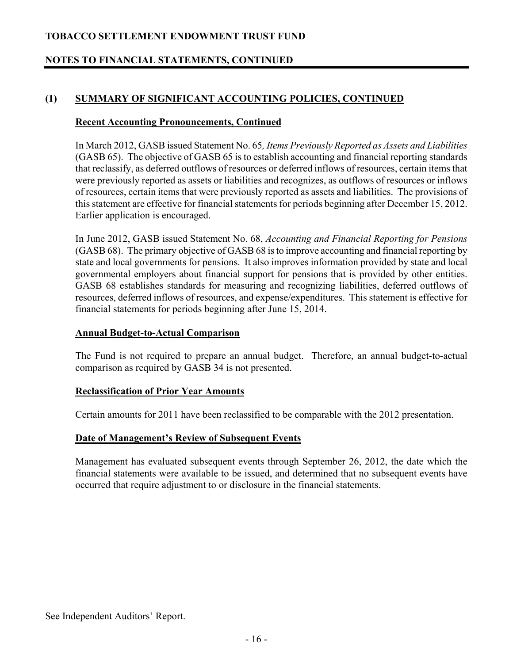# **NOTES TO FINANCIAL STATEMENTS, CONTINUED**

# **(1) SUMMARY OF SIGNIFICANT ACCOUNTING POLICIES, CONTINUED**

### **Recent Accounting Pronouncements, Continued**

In March 2012, GASB issued Statement No. 65*, Items Previously Reported as Assets and Liabilities*  (GASB 65). The objective of GASB 65 is to establish accounting and financial reporting standards that reclassify, as deferred outflows of resources or deferred inflows of resources, certain items that were previously reported as assets or liabilities and recognizes, as outflows of resources or inflows of resources, certain items that were previously reported as assets and liabilities. The provisions of this statement are effective for financial statements for periods beginning after December 15, 2012. Earlier application is encouraged.

In June 2012, GASB issued Statement No. 68, *Accounting and Financial Reporting for Pensions* (GASB 68). The primary objective of GASB 68 is to improve accounting and financial reporting by state and local governments for pensions. It also improves information provided by state and local governmental employers about financial support for pensions that is provided by other entities. GASB 68 establishes standards for measuring and recognizing liabilities, deferred outflows of resources, deferred inflows of resources, and expense/expenditures. This statement is effective for financial statements for periods beginning after June 15, 2014.

#### **Annual Budget-to-Actual Comparison**

The Fund is not required to prepare an annual budget. Therefore, an annual budget-to-actual comparison as required by GASB 34 is not presented.

#### **Reclassification of Prior Year Amounts**

Certain amounts for 2011 have been reclassified to be comparable with the 2012 presentation.

# **Date of Management's Review of Subsequent Events**

Management has evaluated subsequent events through September 26, 2012, the date which the financial statements were available to be issued, and determined that no subsequent events have occurred that require adjustment to or disclosure in the financial statements.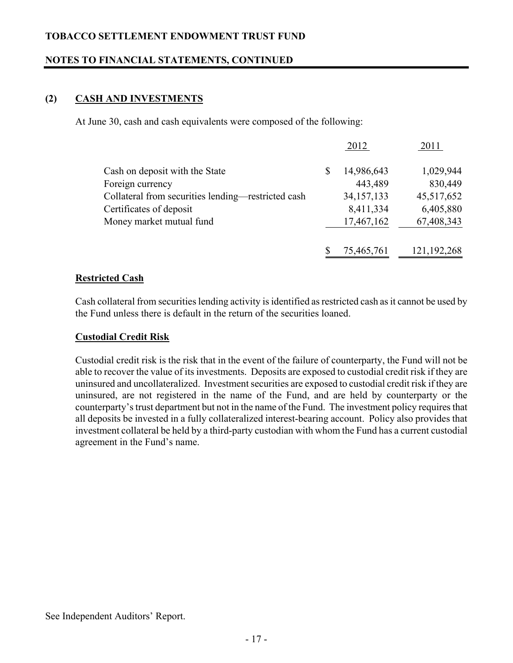# **NOTES TO FINANCIAL STATEMENTS, CONTINUED**

# **(2) CASH AND INVESTMENTS**

At June 30, cash and cash equivalents were composed of the following:

|                                                    |   | 2012         | 2011          |
|----------------------------------------------------|---|--------------|---------------|
| Cash on deposit with the State                     | S | 14,986,643   | 1,029,944     |
| Foreign currency                                   |   | 443,489      | 830,449       |
| Collateral from securities lending—restricted cash |   | 34, 157, 133 | 45,517,652    |
| Certificates of deposit                            |   | 8,411,334    | 6,405,880     |
| Money market mutual fund                           |   | 17,467,162   | 67,408,343    |
|                                                    |   | 75,465,761   | 121, 192, 268 |

### **Restricted Cash**

Cash collateral from securities lending activity is identified as restricted cash as it cannot be used by the Fund unless there is default in the return of the securities loaned.

### **Custodial Credit Risk**

Custodial credit risk is the risk that in the event of the failure of counterparty, the Fund will not be able to recover the value of its investments. Deposits are exposed to custodial credit risk if they are uninsured and uncollateralized. Investment securities are exposed to custodial credit risk if they are uninsured, are not registered in the name of the Fund, and are held by counterparty or the counterparty's trust department but not in the name of the Fund. The investment policy requires that all deposits be invested in a fully collateralized interest-bearing account. Policy also provides that investment collateral be held by a third-party custodian with whom the Fund has a current custodial agreement in the Fund's name.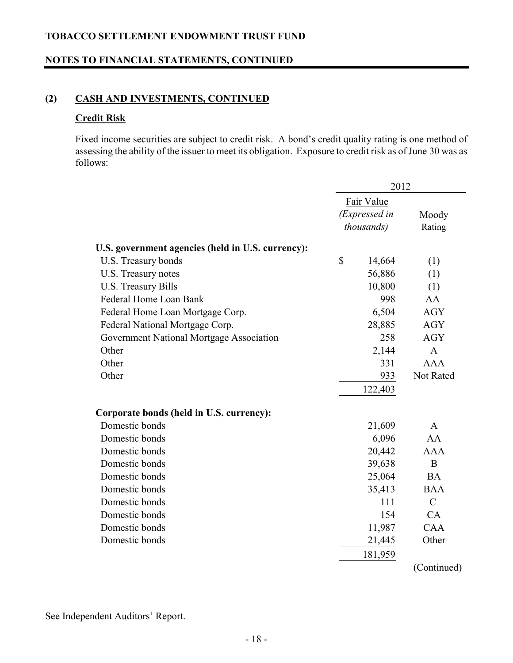# **NOTES TO FINANCIAL STATEMENTS, CONTINUED**

# **(2) CASH AND INVESTMENTS, CONTINUED**

#### **Credit Risk**

Fixed income securities are subject to credit risk. A bond's credit quality rating is one method of assessing the ability of the issuer to meet its obligation. Exposure to credit risk as of June 30 was as follows:

|                                                   | 2012                        |               |               |
|---------------------------------------------------|-----------------------------|---------------|---------------|
|                                                   |                             | Fair Value    |               |
|                                                   | (Expressed in<br>thousands) |               | Moody         |
|                                                   |                             |               | Rating        |
| U.S. government agencies (held in U.S. currency): |                             |               |               |
| U.S. Treasury bonds                               | \$                          | 14,664        |               |
|                                                   |                             |               | (1)           |
| U.S. Treasury notes                               |                             | 56,886        | (1)           |
| <b>U.S. Treasury Bills</b>                        |                             | 10,800<br>998 | (1)           |
| Federal Home Loan Bank                            |                             |               | AA            |
| Federal Home Loan Mortgage Corp.                  |                             | 6,504         | <b>AGY</b>    |
| Federal National Mortgage Corp.                   |                             | 28,885        | <b>AGY</b>    |
| Government National Mortgage Association          |                             | 258           | <b>AGY</b>    |
| Other                                             |                             | 2,144         | $\mathbf{A}$  |
| Other                                             |                             | 331           | <b>AAA</b>    |
| Other                                             |                             | 933           | Not Rated     |
|                                                   |                             | 122,403       |               |
| Corporate bonds (held in U.S. currency):          |                             |               |               |
| Domestic bonds                                    |                             | 21,609        | A             |
| Domestic bonds                                    |                             | 6,096         | AA            |
| Domestic bonds                                    |                             | 20,442        | <b>AAA</b>    |
| Domestic bonds                                    |                             | 39,638        | B             |
| Domestic bonds                                    |                             | 25,064        | <b>BA</b>     |
| Domestic bonds                                    |                             | 35,413        | <b>BAA</b>    |
| Domestic bonds                                    |                             | 111           | $\mathcal{C}$ |
| Domestic bonds                                    |                             | 154           | CA            |
| Domestic bonds                                    |                             | 11,987        | <b>CAA</b>    |
| Domestic bonds                                    |                             | 21,445        | Other         |
|                                                   |                             |               |               |
|                                                   |                             | 181,959       |               |
|                                                   |                             |               | (Continued)   |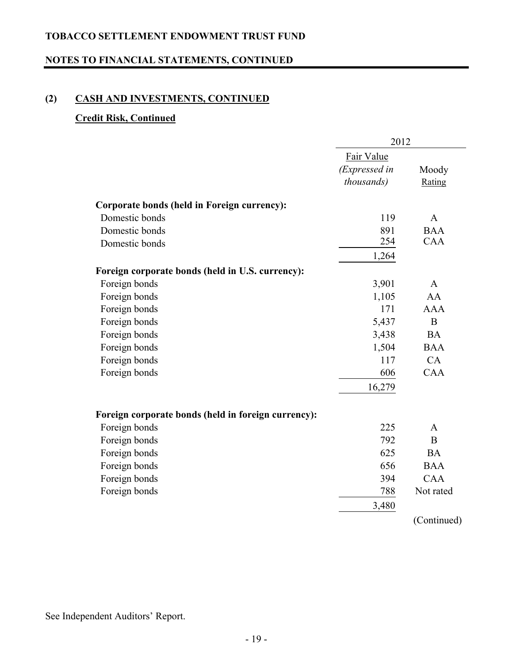# **NOTES TO FINANCIAL STATEMENTS, CONTINUED**

# **(2) CASH AND INVESTMENTS, CONTINUED**

# **Credit Risk, Continued**

|                                                     | 2012          |              |  |
|-----------------------------------------------------|---------------|--------------|--|
|                                                     | Fair Value    |              |  |
|                                                     | (Expressed in | Moody        |  |
|                                                     | thousands)    | Rating       |  |
| Corporate bonds (held in Foreign currency):         |               |              |  |
| Domestic bonds                                      | 119           | $\mathbf{A}$ |  |
| Domestic bonds                                      | 891           | <b>BAA</b>   |  |
| Domestic bonds                                      | 254           | <b>CAA</b>   |  |
|                                                     | 1,264         |              |  |
| Foreign corporate bonds (held in U.S. currency):    |               |              |  |
| Foreign bonds                                       | 3,901         | $\mathbf{A}$ |  |
| Foreign bonds                                       | 1,105         | AA           |  |
| Foreign bonds                                       | 171           | <b>AAA</b>   |  |
| Foreign bonds                                       | 5,437         | $\bf{B}$     |  |
| Foreign bonds                                       | 3,438         | <b>BA</b>    |  |
| Foreign bonds                                       | 1,504         | <b>BAA</b>   |  |
| Foreign bonds                                       | 117           | CA           |  |
| Foreign bonds                                       | 606           | <b>CAA</b>   |  |
|                                                     | 16,279        |              |  |
| Foreign corporate bonds (held in foreign currency): |               |              |  |
| Foreign bonds                                       | 225           | $\mathsf{A}$ |  |
| Foreign bonds                                       | 792           | B            |  |
| Foreign bonds                                       | 625           | <b>BA</b>    |  |
| Foreign bonds                                       | 656           | <b>BAA</b>   |  |
| Foreign bonds                                       | 394           | <b>CAA</b>   |  |
| Foreign bonds                                       | 788           | Not rated    |  |
|                                                     | 3,480         |              |  |
|                                                     |               | (Continued)  |  |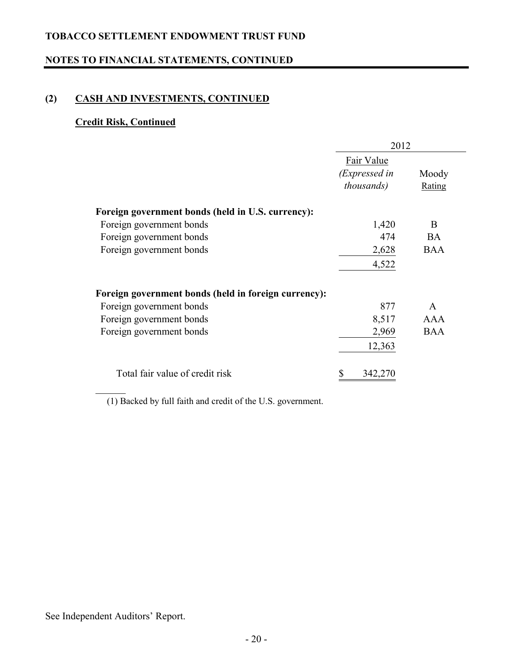# **NOTES TO FINANCIAL STATEMENTS, CONTINUED**

# **(2) CASH AND INVESTMENTS, CONTINUED**

# **Credit Risk, Continued**

|                                                      | 2012               |              |  |
|------------------------------------------------------|--------------------|--------------|--|
|                                                      | <b>Fair Value</b>  |              |  |
|                                                      | (Expressed in      | Moody        |  |
|                                                      | <i>thousands</i> ) | Rating       |  |
| Foreign government bonds (held in U.S. currency):    |                    |              |  |
| Foreign government bonds                             | 1,420              | B            |  |
| Foreign government bonds                             | 474                | <b>BA</b>    |  |
| Foreign government bonds                             | 2,628              | <b>BAA</b>   |  |
|                                                      | 4,522              |              |  |
| Foreign government bonds (held in foreign currency): |                    |              |  |
| Foreign government bonds                             | 877                | $\mathsf{A}$ |  |
| Foreign government bonds                             | 8,517              | AAA          |  |
| Foreign government bonds                             | 2,969              | <b>BAA</b>   |  |
|                                                      | 12,363             |              |  |
| Total fair value of credit risk                      | 342,27             |              |  |

(1) Backed by full faith and credit of the U.S. government.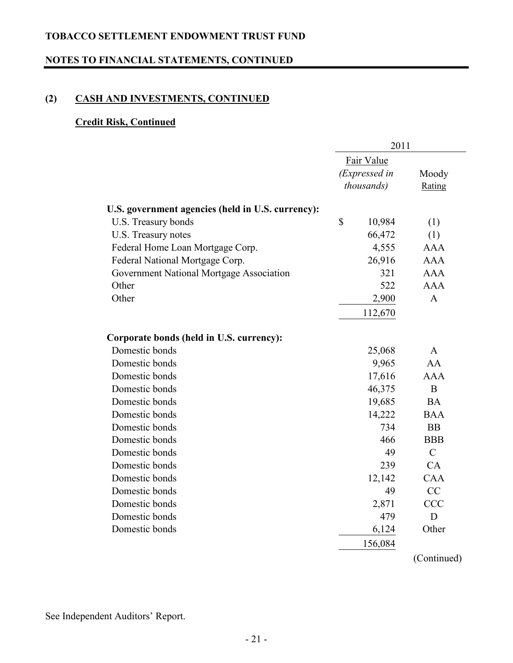# **NOTES TO FINANCIAL STATEMENTS, CONTINUED**

# **(2) CASH AND INVESTMENTS, CONTINUED**

# **Credit Risk, Continued**

|                                                   | 2011                        |            |                 |
|---------------------------------------------------|-----------------------------|------------|-----------------|
|                                                   |                             | Fair Value |                 |
|                                                   | (Expressed in<br>thousands) |            | Moody<br>Rating |
| U.S. government agencies (held in U.S. currency): |                             |            |                 |
| U.S. Treasury bonds                               | \$                          | 10,984     | (1)             |
| U.S. Treasury notes                               |                             | 66,472     | (1)             |
| Federal Home Loan Mortgage Corp.                  |                             | 4,555      | <b>AAA</b>      |
| Federal National Mortgage Corp.                   |                             | 26,916     | <b>AAA</b>      |
| Government National Mortgage Association          |                             | 321        | <b>AAA</b>      |
| Other                                             |                             | 522        | <b>AAA</b>      |
| Other                                             |                             | 2,900      | $\mathbf{A}$    |
|                                                   |                             | 112,670    |                 |
| Corporate bonds (held in U.S. currency):          |                             |            |                 |
| Domestic bonds                                    |                             | 25,068     | A               |
| Domestic bonds                                    |                             | 9,965      | AA              |
| Domestic bonds                                    |                             | 17,616     | <b>AAA</b>      |
| Domestic bonds                                    |                             | 46,375     | B               |
| Domestic bonds                                    |                             | 19,685     | <b>BA</b>       |
| Domestic bonds                                    |                             | 14,222     | <b>BAA</b>      |
| Domestic bonds                                    |                             | 734        | <b>BB</b>       |
| Domestic bonds                                    |                             | 466        | <b>BBB</b>      |
| Domestic bonds                                    |                             | 49         | $\overline{C}$  |
| Domestic bonds                                    |                             | 239        | CA              |
| Domestic bonds                                    |                             | 12,142     | <b>CAA</b>      |
| Domestic bonds                                    |                             | 49         | CC              |
| Domestic bonds                                    |                             | 2,871      | <b>CCC</b>      |
| Domestic bonds                                    |                             | 479        | D               |
| Domestic bonds                                    |                             | 6,124      | Other           |
|                                                   |                             | 156,084    |                 |

(Continued)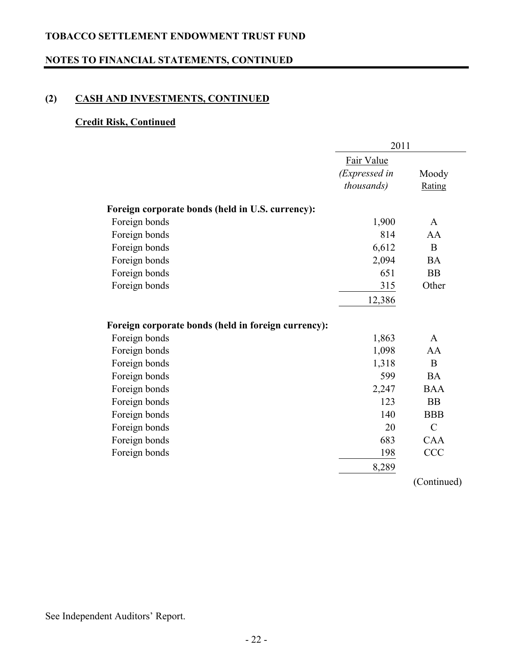# **NOTES TO FINANCIAL STATEMENTS, CONTINUED**

# **(2) CASH AND INVESTMENTS, CONTINUED**

# **Credit Risk, Continued**

|                                                     | 2011                                              |                 |  |
|-----------------------------------------------------|---------------------------------------------------|-----------------|--|
|                                                     | Fair Value<br>(Expressed in<br><i>thousands</i> ) | Moody<br>Rating |  |
| Foreign corporate bonds (held in U.S. currency):    |                                                   |                 |  |
| Foreign bonds                                       | 1,900                                             | A               |  |
| Foreign bonds                                       | 814                                               | AA              |  |
| Foreign bonds                                       | 6,612                                             | B               |  |
| Foreign bonds                                       | 2,094                                             | <b>BA</b>       |  |
| Foreign bonds                                       | 651                                               | <b>BB</b>       |  |
| Foreign bonds                                       | 315                                               | Other           |  |
|                                                     | 12,386                                            |                 |  |
| Foreign corporate bonds (held in foreign currency): |                                                   |                 |  |
| Foreign bonds                                       | 1,863                                             | $\mathbf{A}$    |  |
| Foreign bonds                                       | 1,098                                             | AA              |  |
| Foreign bonds                                       | 1,318                                             | B               |  |
| Foreign bonds                                       | 599                                               | <b>BA</b>       |  |
| Foreign bonds                                       | 2,247                                             | <b>BAA</b>      |  |
| Foreign bonds                                       | 123                                               | <b>BB</b>       |  |
| Foreign bonds                                       | 140                                               | <b>BBB</b>      |  |
| Foreign bonds                                       | 20                                                | $\mathcal{C}$   |  |
| Foreign bonds                                       | 683                                               | CAA             |  |
| Foreign bonds                                       | 198                                               | <b>CCC</b>      |  |
|                                                     | 8,289                                             |                 |  |
|                                                     |                                                   | (Continued)     |  |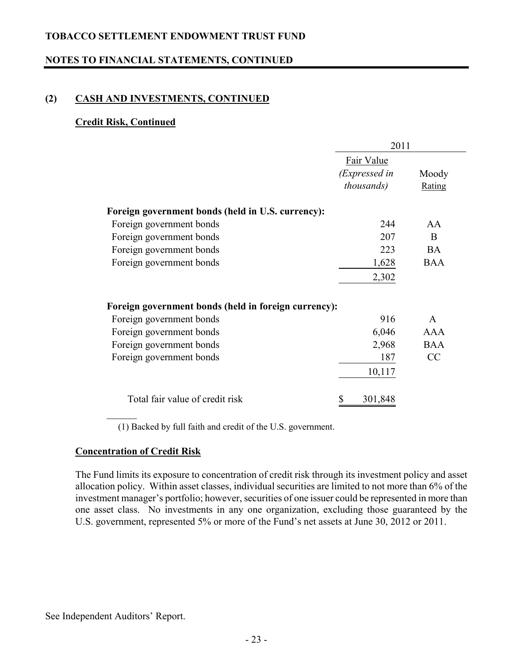# **NOTES TO FINANCIAL STATEMENTS, CONTINUED**

# **(2) CASH AND INVESTMENTS, CONTINUED**

### **Credit Risk, Continued**

|                                                      | 2011               |            |  |
|------------------------------------------------------|--------------------|------------|--|
|                                                      | Fair Value         |            |  |
|                                                      | (Expressed in      | Moody      |  |
|                                                      | <i>thousands</i> ) | Rating     |  |
|                                                      |                    |            |  |
| Foreign government bonds (held in U.S. currency):    |                    |            |  |
| Foreign government bonds                             | 244                | AA         |  |
| Foreign government bonds                             | 207                | B          |  |
| Foreign government bonds                             | 223                | <b>BA</b>  |  |
| Foreign government bonds                             | 1,628              | <b>BAA</b> |  |
|                                                      | 2,302              |            |  |
|                                                      |                    |            |  |
| Foreign government bonds (held in foreign currency): |                    |            |  |
| Foreign government bonds                             | 916                | A          |  |
| Foreign government bonds                             | 6,046              | AAA        |  |
| Foreign government bonds                             | 2,968              | <b>BAA</b> |  |
| Foreign government bonds                             | 187                | CC         |  |
|                                                      | 10,117             |            |  |
|                                                      |                    |            |  |
| Total fair value of credit risk                      | \$<br>301,848      |            |  |

(1) Backed by full faith and credit of the U.S. government.

# **Concentration of Credit Risk**

The Fund limits its exposure to concentration of credit risk through its investment policy and asset allocation policy. Within asset classes, individual securities are limited to not more than 6% of the investment manager's portfolio; however, securities of one issuer could be represented in more than one asset class. No investments in any one organization, excluding those guaranteed by the U.S. government, represented 5% or more of the Fund's net assets at June 30, 2012 or 2011.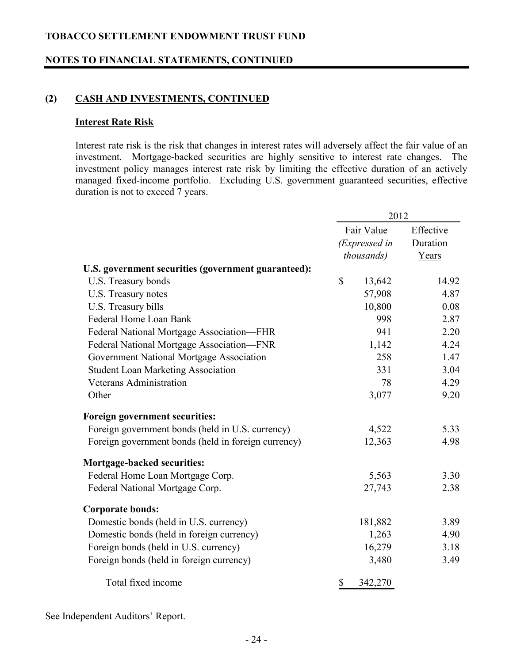# **NOTES TO FINANCIAL STATEMENTS, CONTINUED**

# **(2) CASH AND INVESTMENTS, CONTINUED**

#### **Interest Rate Risk**

Interest rate risk is the risk that changes in interest rates will adversely affect the fair value of an investment. Mortgage-backed securities are highly sensitive to interest rate changes. The investment policy manages interest rate risk by limiting the effective duration of an actively managed fixed-income portfolio. Excluding U.S. government guaranteed securities, effective duration is not to exceed 7 years.

|                                                     | 2012                        |            |                       |
|-----------------------------------------------------|-----------------------------|------------|-----------------------|
|                                                     | Fair Value<br>(Expressed in |            | Effective<br>Duration |
|                                                     |                             |            |                       |
|                                                     |                             | thousands) | Years                 |
| U.S. government securities (government guaranteed): |                             |            |                       |
| U.S. Treasury bonds                                 | $\mathbb{S}$                | 13,642     | 14.92                 |
| U.S. Treasury notes                                 |                             | 57,908     | 4.87                  |
| U.S. Treasury bills                                 |                             | 10,800     | 0.08                  |
| Federal Home Loan Bank                              |                             | 998        | 2.87                  |
| Federal National Mortgage Association-FHR           |                             | 941        | 2.20                  |
| Federal National Mortgage Association-FNR           |                             | 1,142      | 4.24                  |
| Government National Mortgage Association            |                             | 258        | 1.47                  |
| <b>Student Loan Marketing Association</b>           |                             | 331        | 3.04                  |
| <b>Veterans Administration</b>                      |                             | 78         | 4.29                  |
| Other                                               |                             | 3,077      | 9.20                  |
| Foreign government securities:                      |                             |            |                       |
| Foreign government bonds (held in U.S. currency)    |                             | 4,522      | 5.33                  |
| Foreign government bonds (held in foreign currency) |                             | 12,363     | 4.98                  |
| Mortgage-backed securities:                         |                             |            |                       |
| Federal Home Loan Mortgage Corp.                    |                             | 5,563      | 3.30                  |
| Federal National Mortgage Corp.                     |                             | 27,743     | 2.38                  |
| <b>Corporate bonds:</b>                             |                             |            |                       |
| Domestic bonds (held in U.S. currency)              |                             | 181,882    | 3.89                  |
| Domestic bonds (held in foreign currency)           |                             | 1,263      | 4.90                  |
| Foreign bonds (held in U.S. currency)               |                             | 16,279     | 3.18                  |
| Foreign bonds (held in foreign currency)            |                             | 3,480      | 3.49                  |
| Total fixed income                                  | \$                          | 342,270    |                       |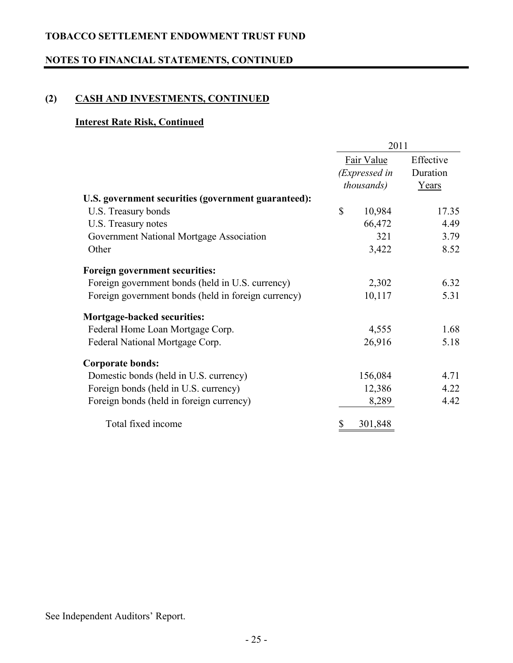# **NOTES TO FINANCIAL STATEMENTS, CONTINUED**

# **(2) CASH AND INVESTMENTS, CONTINUED**

# **Interest Rate Risk, Continued**

|                                                     | 2011                        |                    |           |  |
|-----------------------------------------------------|-----------------------------|--------------------|-----------|--|
|                                                     | Fair Value<br>(Expressed in |                    | Effective |  |
|                                                     |                             |                    | Duration  |  |
|                                                     |                             | <i>thousands</i> ) | Years     |  |
| U.S. government securities (government guaranteed): |                             |                    |           |  |
| U.S. Treasury bonds                                 | \$                          | 10,984             | 17.35     |  |
| U.S. Treasury notes                                 |                             | 66,472             | 4.49      |  |
| Government National Mortgage Association            |                             | 321                | 3.79      |  |
| Other                                               |                             | 3,422              | 8.52      |  |
| Foreign government securities:                      |                             |                    |           |  |
| Foreign government bonds (held in U.S. currency)    |                             | 2,302              | 6.32      |  |
| Foreign government bonds (held in foreign currency) |                             | 10,117             | 5.31      |  |
| Mortgage-backed securities:                         |                             |                    |           |  |
| Federal Home Loan Mortgage Corp.                    |                             | 4,555              | 1.68      |  |
| Federal National Mortgage Corp.                     |                             | 26,916             | 5.18      |  |
| <b>Corporate bonds:</b>                             |                             |                    |           |  |
| Domestic bonds (held in U.S. currency)              |                             | 156,084            | 4.71      |  |
| Foreign bonds (held in U.S. currency)               |                             | 12,386             | 4.22      |  |
| Foreign bonds (held in foreign currency)            |                             | 8,289              | 4.42      |  |
| Total fixed income                                  | \$                          | 301,848            |           |  |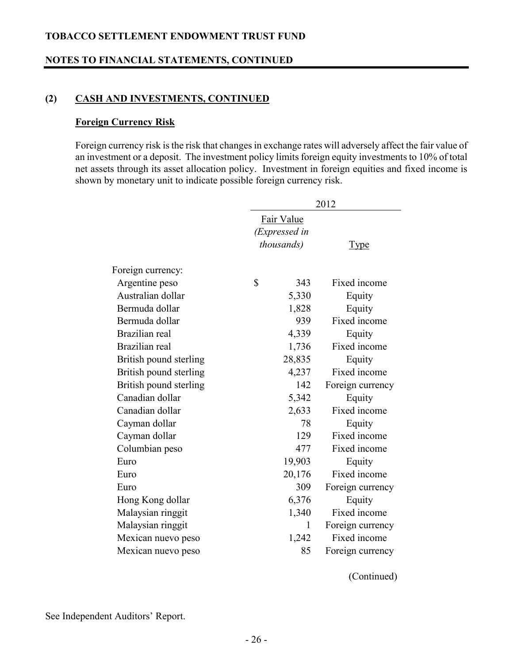# **NOTES TO FINANCIAL STATEMENTS, CONTINUED**

# **(2) CASH AND INVESTMENTS, CONTINUED**

# **Foreign Currency Risk**

Foreign currency risk is the risk that changes in exchange rates will adversely affect the fair value of an investment or a deposit. The investment policy limits foreign equity investments to 10% of total net assets through its asset allocation policy. Investment in foreign equities and fixed income is shown by monetary unit to indicate possible foreign currency risk.

|                        | 2012                        |                  |  |  |
|------------------------|-----------------------------|------------------|--|--|
|                        | Fair Value<br>(Expressed in |                  |  |  |
|                        | <i>thousands</i> )          | <u>Type</u>      |  |  |
| Foreign currency:      |                             |                  |  |  |
| Argentine peso         | \$<br>343                   | Fixed income     |  |  |
| Australian dollar      | 5,330                       | Equity           |  |  |
| Bermuda dollar         | 1,828                       | Equity           |  |  |
| Bermuda dollar         | 939                         | Fixed income     |  |  |
| Brazilian real         | 4,339                       | Equity           |  |  |
| Brazilian real         | 1,736                       | Fixed income     |  |  |
| British pound sterling | 28,835                      | Equity           |  |  |
| British pound sterling | 4,237                       | Fixed income     |  |  |
| British pound sterling | 142                         | Foreign currency |  |  |
| Canadian dollar        | 5,342                       | Equity           |  |  |
| Canadian dollar        | 2,633                       | Fixed income     |  |  |
| Cayman dollar          | 78                          | Equity           |  |  |
| Cayman dollar          | 129                         | Fixed income     |  |  |
| Columbian peso         | 477                         | Fixed income     |  |  |
| Euro                   | 19,903                      | Equity           |  |  |
| Euro                   | 20,176                      | Fixed income     |  |  |
| Euro                   | 309                         | Foreign currency |  |  |
| Hong Kong dollar       | 6,376                       | Equity           |  |  |
| Malaysian ringgit      | 1,340                       | Fixed income     |  |  |
| Malaysian ringgit      | 1                           | Foreign currency |  |  |
| Mexican nuevo peso     | 1,242                       | Fixed income     |  |  |
| Mexican nuevo peso     | 85                          | Foreign currency |  |  |

(Continued)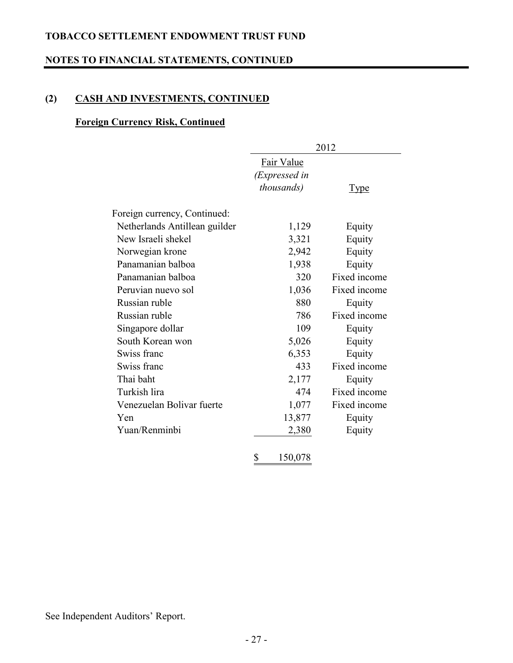# **NOTES TO FINANCIAL STATEMENTS, CONTINUED**

# **(2) CASH AND INVESTMENTS, CONTINUED**

# **Foreign Currency Risk, Continued**

|                               | 2012                               |              |  |
|-------------------------------|------------------------------------|--------------|--|
|                               | <b>Fair Value</b><br>(Expressed in |              |  |
|                               | thousands)                         | <b>Type</b>  |  |
| Foreign currency, Continued:  |                                    |              |  |
| Netherlands Antillean guilder | 1,129                              | Equity       |  |
| New Israeli shekel            | 3,321                              | Equity       |  |
| Norwegian krone               | 2,942                              | Equity       |  |
| Panamanian balboa             | 1,938                              | Equity       |  |
| Panamanian balboa             | 320                                | Fixed income |  |
| Peruvian nuevo sol            | 1,036                              | Fixed income |  |
| Russian ruble                 | 880                                | Equity       |  |
| Russian ruble                 | 786                                | Fixed income |  |
| Singapore dollar              | 109                                | Equity       |  |
| South Korean won              | 5,026                              | Equity       |  |
| Swiss franc                   | 6,353                              | Equity       |  |
| Swiss franc                   | 433                                | Fixed income |  |
| Thai baht                     | 2,177                              | Equity       |  |
| Turkish lira                  | 474                                | Fixed income |  |
| Venezuelan Bolivar fuerte     | 1,077                              | Fixed income |  |
| Yen                           | 13,877                             | Equity       |  |
| Yuan/Renminbi                 | 2,380                              | Equity       |  |
|                               | \$<br>150,078                      |              |  |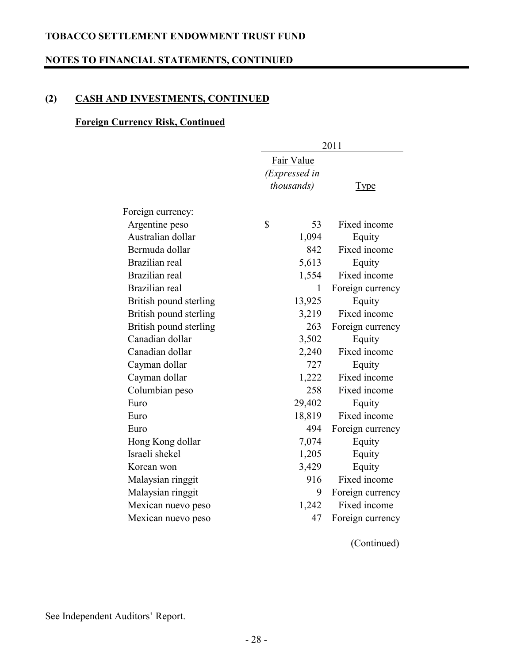# **NOTES TO FINANCIAL STATEMENTS, CONTINUED**

# **(2) CASH AND INVESTMENTS, CONTINUED**

# **Foreign Currency Risk, Continued**

|                        | 2011 |                    |                  |  |  |
|------------------------|------|--------------------|------------------|--|--|
|                        |      | <b>Fair Value</b>  |                  |  |  |
|                        |      | (Expressed in      |                  |  |  |
|                        |      | <i>thousands</i> ) | <u>Type</u>      |  |  |
| Foreign currency:      |      |                    |                  |  |  |
| Argentine peso         | \$   | 53                 | Fixed income     |  |  |
| Australian dollar      |      | 1,094              | Equity           |  |  |
| Bermuda dollar         |      | 842                | Fixed income     |  |  |
| Brazilian real         |      | 5,613              | Equity           |  |  |
| Brazilian real         |      | 1,554              | Fixed income     |  |  |
| Brazilian real         |      | $\mathbf{1}$       | Foreign currency |  |  |
| British pound sterling |      | 13,925             | Equity           |  |  |
| British pound sterling |      | 3,219              | Fixed income     |  |  |
| British pound sterling |      | 263                | Foreign currency |  |  |
| Canadian dollar        |      | 3,502              | Equity           |  |  |
| Canadian dollar        |      | 2,240              | Fixed income     |  |  |
| Cayman dollar          |      | 727                | Equity           |  |  |
| Cayman dollar          |      | 1,222              | Fixed income     |  |  |
| Columbian peso         |      | 258                | Fixed income     |  |  |
| Euro                   |      | 29,402             | Equity           |  |  |
| Euro                   |      | 18,819             | Fixed income     |  |  |
| Euro                   |      | 494                | Foreign currency |  |  |
| Hong Kong dollar       |      | 7,074              | Equity           |  |  |
| Israeli shekel         |      | 1,205              | Equity           |  |  |
| Korean won             |      | 3,429              | Equity           |  |  |
| Malaysian ringgit      |      | 916                | Fixed income     |  |  |
| Malaysian ringgit      |      | 9                  | Foreign currency |  |  |
| Mexican nuevo peso     |      | 1,242              | Fixed income     |  |  |
| Mexican nuevo peso     |      | 47                 | Foreign currency |  |  |

(Continued)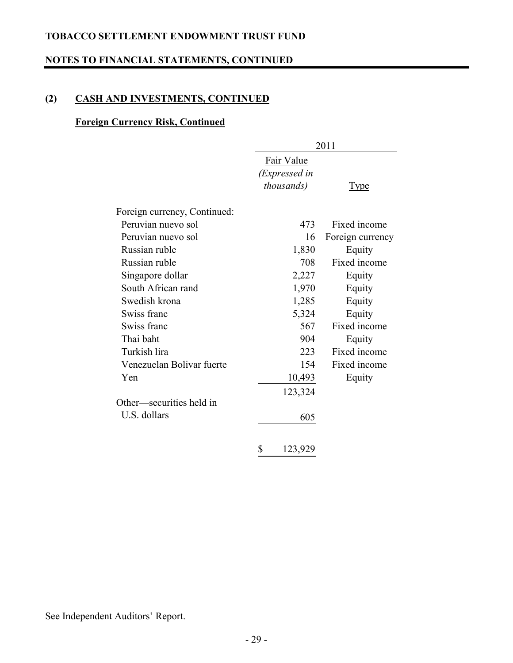# **NOTES TO FINANCIAL STATEMENTS, CONTINUED**

# **(2) CASH AND INVESTMENTS, CONTINUED**

# **Foreign Currency Risk, Continued**

|                              | 2011              |                  |  |  |
|------------------------------|-------------------|------------------|--|--|
|                              | <b>Fair Value</b> |                  |  |  |
|                              | (Expressed in     |                  |  |  |
|                              | thousands)        | <b>Type</b>      |  |  |
| Foreign currency, Continued: |                   |                  |  |  |
| Peruvian nuevo sol           | 473               | Fixed income     |  |  |
| Peruvian nuevo sol           | 16                | Foreign currency |  |  |
| Russian ruble                | 1,830             | Equity           |  |  |
| Russian ruble                | 708               | Fixed income     |  |  |
| Singapore dollar             | 2,227             | Equity           |  |  |
| South African rand           | 1,970             | Equity           |  |  |
| Swedish krona                | 1,285             | Equity           |  |  |
| Swiss franc                  | 5,324             | Equity           |  |  |
| Swiss franc                  | 567               | Fixed income     |  |  |
| Thai baht                    | 904               | Equity           |  |  |
| Turkish lira                 | 223               | Fixed income     |  |  |
| Venezuelan Bolivar fuerte    | 154               | Fixed income     |  |  |
| Yen                          | 10,493            | Equity           |  |  |
|                              | 123,324           |                  |  |  |
| Other—securities held in     |                   |                  |  |  |
| U.S. dollars                 | 605               |                  |  |  |
|                              | \$<br>123,929     |                  |  |  |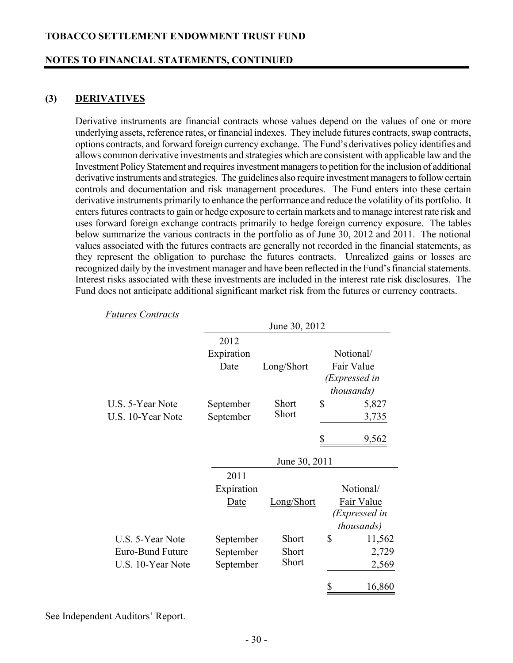### **NOTES TO FINANCIAL STATEMENTS, CONTINUED**

### **(3) DERIVATIVES**

Derivative instruments are financial contracts whose values depend on the values of one or more underlying assets, reference rates, or financial indexes. They include futures contracts, swap contracts, options contracts, and forward foreign currency exchange. The Fund's derivatives policy identifies and allows common derivative investments and strategies which are consistent with applicable law and the Investment Policy Statement and requires investment managers to petition for the inclusion of additional derivative instruments and strategies. The guidelines also require investment managers to follow certain controls and documentation and risk management procedures. The Fund enters into these certain derivative instruments primarily to enhance the performance and reduce the volatility of its portfolio. It enters futures contracts to gain or hedge exposure to certain markets and to manage interest rate risk and uses forward foreign exchange contracts primarily to hedge foreign currency exposure. The tables below summarize the various contracts in the portfolio as of June 30, 2012 and 2011. The notional values associated with the futures contracts are generally not recorded in the financial statements, as they represent the obligation to purchase the futures contracts. Unrealized gains or losses are recognized daily by the investment manager and have been reflected in the Fund's financial statements. Interest risks associated with these investments are included in the interest rate risk disclosures. The Fund does not anticipate additional significant market risk from the futures or currency contracts.

*Futures Contracts*

|                   | June 30, 2012 |               |    |                    |  |
|-------------------|---------------|---------------|----|--------------------|--|
|                   | 2012          |               |    |                    |  |
|                   | Expiration    |               |    | Notional/          |  |
|                   | Date          | Long/Short    |    | Fair Value         |  |
|                   |               |               |    | (Expressed in      |  |
|                   |               |               |    | <i>thousands</i> ) |  |
| U.S. 5-Year Note  | September     | <b>Short</b>  | \$ | 5,827              |  |
| U.S. 10-Year Note | September     | Short         |    | 3,735              |  |
|                   |               |               |    | 9,562              |  |
|                   |               | June 30, 2011 |    |                    |  |
|                   | 2011          |               |    |                    |  |
|                   | Expiration    |               |    | Notional/          |  |
|                   | Date          | Long/Short    |    | Fair Value         |  |
|                   |               |               |    | (Expressed in      |  |
|                   |               |               |    | <i>thousands</i> ) |  |
| U.S. 5-Year Note  | September     | Short         | \$ | 11,562             |  |
| Euro-Bund Future  | September     | Short         |    | 2,729              |  |
| U.S. 10-Year Note | September     | Short         |    | 2,569              |  |
|                   |               |               | \$ | 16,860             |  |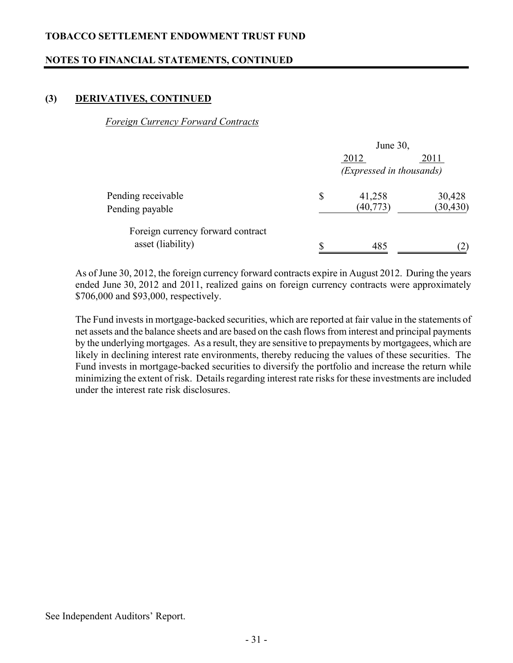# **NOTES TO FINANCIAL STATEMENTS, CONTINUED**

# **(3) DERIVATIVES, CONTINUED**

### *Foreign Currency Forward Contracts*

|                                                        | June $30$ , |                          |                     |
|--------------------------------------------------------|-------------|--------------------------|---------------------|
|                                                        | 2012        |                          | 2011                |
|                                                        |             | (Expressed in thousands) |                     |
| Pending receivable<br>Pending payable                  | \$          | 41,258<br>(40, 773)      | 30,428<br>(30, 430) |
| Foreign currency forward contract<br>asset (liability) |             | 485                      |                     |

As of June 30, 2012, the foreign currency forward contracts expire in August 2012. During the years ended June 30, 2012 and 2011, realized gains on foreign currency contracts were approximately \$706,000 and \$93,000, respectively.

The Fund invests in mortgage-backed securities, which are reported at fair value in the statements of net assets and the balance sheets and are based on the cash flows from interest and principal payments by the underlying mortgages. As a result, they are sensitive to prepayments by mortgagees, which are likely in declining interest rate environments, thereby reducing the values of these securities. The Fund invests in mortgage-backed securities to diversify the portfolio and increase the return while minimizing the extent of risk. Details regarding interest rate risks for these investments are included under the interest rate risk disclosures.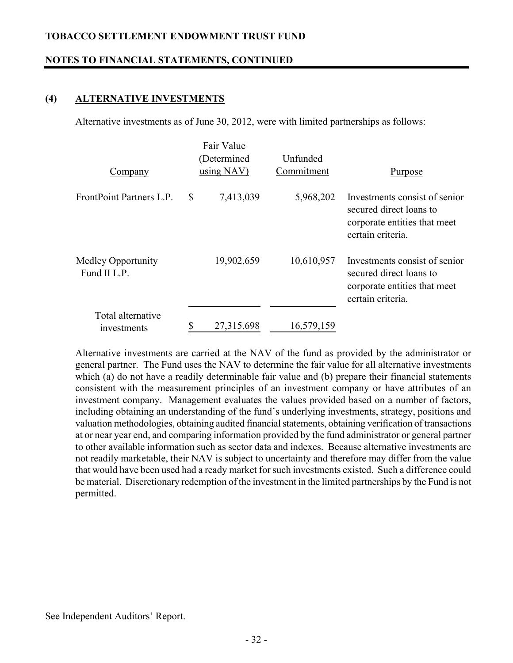# **NOTES TO FINANCIAL STATEMENTS, CONTINUED**

# **(4) ALTERNATIVE INVESTMENTS**

Alternative investments as of June 30, 2012, were with limited partnerships as follows:

| Company                                   |              | Fair Value<br>(Determined<br>using NAV) | Unfunded<br>Commitment | Purpose                                                                                                       |
|-------------------------------------------|--------------|-----------------------------------------|------------------------|---------------------------------------------------------------------------------------------------------------|
| <b>FrontPoint Partners L.P.</b>           | $\mathbb{S}$ | 7,413,039                               | 5,968,202              | Investments consist of senior<br>secured direct loans to<br>corporate entities that meet<br>certain criteria. |
| <b>Medley Opportunity</b><br>Fund II L.P. |              | 19,902,659                              | 10,610,957             | Investments consist of senior<br>secured direct loans to<br>corporate entities that meet<br>certain criteria. |
| Total alternative<br>investments          | \$           | 27,315,698                              | 16,579,159             |                                                                                                               |

Alternative investments are carried at the NAV of the fund as provided by the administrator or general partner. The Fund uses the NAV to determine the fair value for all alternative investments which (a) do not have a readily determinable fair value and (b) prepare their financial statements consistent with the measurement principles of an investment company or have attributes of an investment company. Management evaluates the values provided based on a number of factors, including obtaining an understanding of the fund's underlying investments, strategy, positions and valuation methodologies, obtaining audited financial statements, obtaining verification of transactions at or near year end, and comparing information provided by the fund administrator or general partner to other available information such as sector data and indexes. Because alternative investments are not readily marketable, their NAV is subject to uncertainty and therefore may differ from the value that would have been used had a ready market for such investments existed. Such a difference could be material. Discretionary redemption of the investment in the limited partnerships by the Fund is not permitted.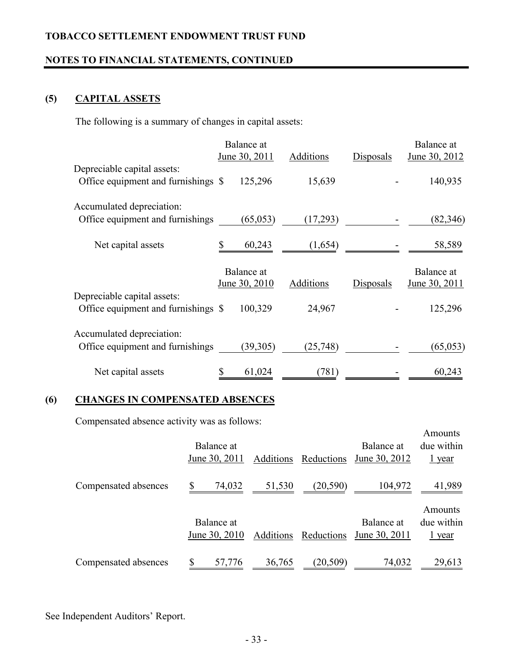# **NOTES TO FINANCIAL STATEMENTS, CONTINUED**

# **(5) CAPITAL ASSETS**

The following is a summary of changes in capital assets:

|                                                                    | Balance at<br>June 30, 2011 | Additions | Disposals | Balance at<br>June 30, 2012 |
|--------------------------------------------------------------------|-----------------------------|-----------|-----------|-----------------------------|
| Depreciable capital assets:                                        |                             |           |           |                             |
| Office equipment and furnishings \$                                | 125,296                     | 15,639    |           | 140,935                     |
| Accumulated depreciation:                                          |                             |           |           |                             |
| Office equipment and furnishings                                   | (65, 053)                   | (17,293)  |           | (82, 346)                   |
| Net capital assets                                                 | \$<br>60,243                | (1,654)   |           | 58,589                      |
|                                                                    | Balance at                  |           |           | Balance at                  |
|                                                                    | June 30, 2010               | Additions | Disposals | June 30, 2011               |
| Depreciable capital assets:<br>Office equipment and furnishings \$ | 100,329                     | 24,967    |           | 125,296                     |
| Accumulated depreciation:                                          |                             |           |           |                             |
| Office equipment and furnishings                                   | (39,305)                    | (25, 748) |           | (65, 053)                   |
| Net capital assets                                                 | \$<br>61,024                | (781)     |           | 60,243                      |

# **(6) CHANGES IN COMPENSATED ABSENCES**

Compensated absence activity was as follows:

|                      | Balance at<br>June 30, 2011 | Additions        | Reductions | Balance at<br>June 30, 2012 | Amounts<br>due within<br>$1$ year      |
|----------------------|-----------------------------|------------------|------------|-----------------------------|----------------------------------------|
| Compensated absences | 74,032<br>\$                | 51,530           | (20, 590)  | 104,972                     | 41,989                                 |
|                      | Balance at<br>June 30, 2010 | <b>Additions</b> | Reductions | Balance at<br>June 30, 2011 | Amounts<br>due within<br><u>1 year</u> |
| Compensated absences | 57,776                      | 36,765           | (20, 509)  | 74,032                      | 29,613                                 |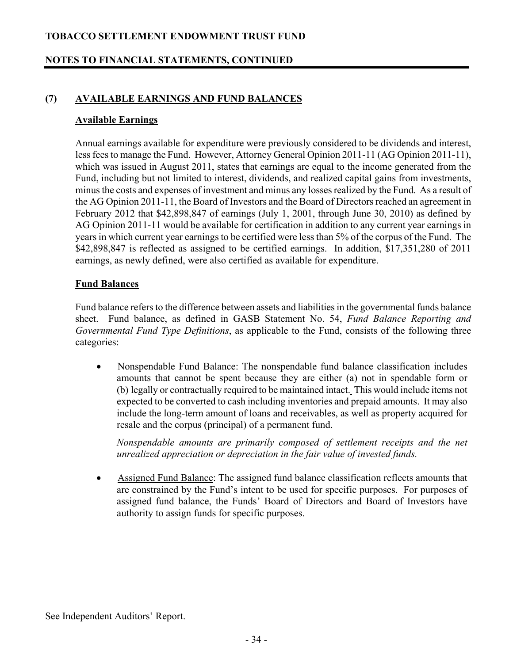# **NOTES TO FINANCIAL STATEMENTS, CONTINUED**

# **(7) AVAILABLE EARNINGS AND FUND BALANCES**

### **Available Earnings**

Annual earnings available for expenditure were previously considered to be dividends and interest, less fees to manage the Fund. However, Attorney General Opinion 2011-11 (AG Opinion 2011-11), which was issued in August 2011, states that earnings are equal to the income generated from the Fund, including but not limited to interest, dividends, and realized capital gains from investments, minus the costs and expenses of investment and minus any losses realized by the Fund. As a result of the AG Opinion 2011-11, the Board of Investors and the Board of Directors reached an agreement in February 2012 that \$42,898,847 of earnings (July 1, 2001, through June 30, 2010) as defined by AG Opinion 2011-11 would be available for certification in addition to any current year earnings in years in which current year earnings to be certified were less than 5% of the corpus of the Fund. The \$42,898,847 is reflected as assigned to be certified earnings. In addition, \$17,351,280 of 2011 earnings, as newly defined, were also certified as available for expenditure.

### **Fund Balances**

Fund balance refers to the difference between assets and liabilities in the governmental funds balance sheet. Fund balance, as defined in GASB Statement No. 54, *Fund Balance Reporting and Governmental Fund Type Definitions*, as applicable to the Fund, consists of the following three categories:

• Nonspendable Fund Balance: The nonspendable fund balance classification includes amounts that cannot be spent because they are either (a) not in spendable form or (b) legally or contractually required to be maintained intact. This would include items not expected to be converted to cash including inventories and prepaid amounts. It may also include the long-term amount of loans and receivables, as well as property acquired for resale and the corpus (principal) of a permanent fund.

*Nonspendable amounts are primarily composed of settlement receipts and the net unrealized appreciation or depreciation in the fair value of invested funds.* 

• Assigned Fund Balance: The assigned fund balance classification reflects amounts that are constrained by the Fund's intent to be used for specific purposes. For purposes of assigned fund balance, the Funds' Board of Directors and Board of Investors have authority to assign funds for specific purposes.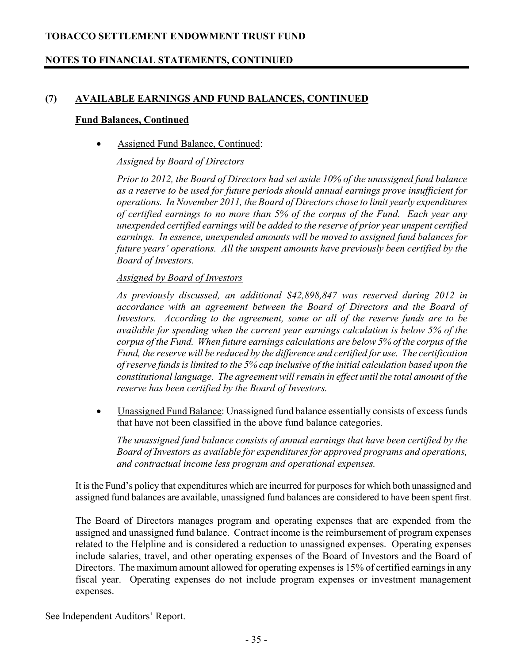# **NOTES TO FINANCIAL STATEMENTS, CONTINUED**

# **(7) AVAILABLE EARNINGS AND FUND BALANCES, CONTINUED**

### **Fund Balances, Continued**

• Assigned Fund Balance, Continued:

### *Assigned by Board of Directors*

*Prior to 2012, the Board of Directors had set aside 10% of the unassigned fund balance as a reserve to be used for future periods should annual earnings prove insufficient for operations. In November 2011, the Board of Directors chose to limit yearly expenditures of certified earnings to no more than 5% of the corpus of the Fund. Each year any unexpended certified earnings will be added to the reserve of prior year unspent certified earnings. In essence, unexpended amounts will be moved to assigned fund balances for future years' operations. All the unspent amounts have previously been certified by the Board of Investors.* 

### *Assigned by Board of Investors*

*As previously discussed, an additional \$42,898,847 was reserved during 2012 in accordance with an agreement between the Board of Directors and the Board of Investors. According to the agreement, some or all of the reserve funds are to be available for spending when the current year earnings calculation is below 5% of the corpus of the Fund. When future earnings calculations are below 5% of the corpus of the Fund, the reserve will be reduced by the difference and certified for use. The certification of reserve funds is limited to the 5% cap inclusive of the initial calculation based upon the constitutional language. The agreement will remain in effect until the total amount of the reserve has been certified by the Board of Investors.* 

• Unassigned Fund Balance: Unassigned fund balance essentially consists of excess funds that have not been classified in the above fund balance categories.

*The unassigned fund balance consists of annual earnings that have been certified by the Board of Investors as available for expenditures for approved programs and operations, and contractual income less program and operational expenses.* 

It is the Fund's policy that expenditures which are incurred for purposes for which both unassigned and assigned fund balances are available, unassigned fund balances are considered to have been spent first.

The Board of Directors manages program and operating expenses that are expended from the assigned and unassigned fund balance. Contract income is the reimbursement of program expenses related to the Helpline and is considered a reduction to unassigned expenses. Operating expenses include salaries, travel, and other operating expenses of the Board of Investors and the Board of Directors. The maximum amount allowed for operating expenses is 15% of certified earnings in any fiscal year. Operating expenses do not include program expenses or investment management expenses.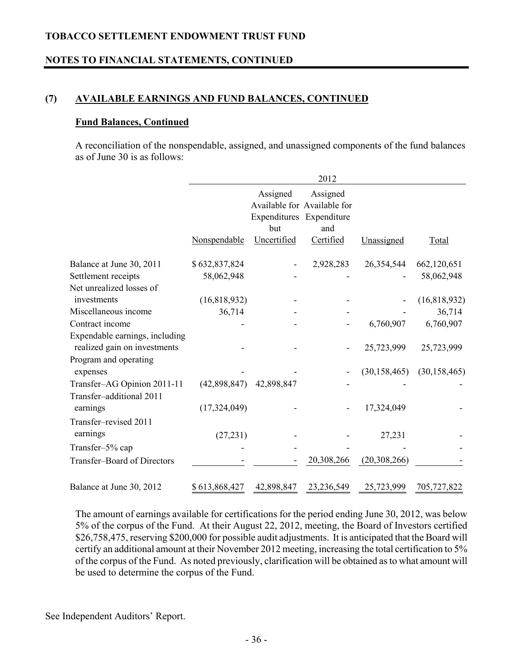# **NOTES TO FINANCIAL STATEMENTS, CONTINUED**

# **(7) AVAILABLE EARNINGS AND FUND BALANCES, CONTINUED**

#### **Fund Balances, Continued**

A reconciliation of the nonspendable, assigned, and unassigned components of the fund balances as of June 30 is as follows:

|                                                                |                             |                                             | 2012                                           |                |                |
|----------------------------------------------------------------|-----------------------------|---------------------------------------------|------------------------------------------------|----------------|----------------|
|                                                                |                             | Assigned<br>Expenditures Expenditure<br>but | Assigned<br>Available for Available for<br>and |                |                |
|                                                                | <b>Nonspendable</b>         | Uncertified                                 | Certified                                      | Unassigned     | Total          |
| Balance at June 30, 2011                                       | \$632,837,824               |                                             | 2,928,283                                      | 26,354,544     | 662,120,651    |
| Settlement receipts                                            | 58,062,948                  |                                             |                                                |                | 58,062,948     |
| Net unrealized losses of                                       |                             |                                             |                                                |                |                |
| investments                                                    | (16,818,932)                |                                             |                                                |                | (16, 818, 932) |
| Miscellaneous income                                           | 36,714                      |                                             |                                                |                | 36,714         |
| Contract income                                                |                             |                                             |                                                | 6,760,907      | 6,760,907      |
| Expendable earnings, including<br>realized gain on investments |                             |                                             |                                                | 25,723,999     | 25,723,999     |
| Program and operating<br>expenses                              |                             |                                             |                                                | (30, 158, 465) | (30, 158, 465) |
| Transfer-AG Opinion 2011-11                                    | $(42,898,847)$ $42,898,847$ |                                             |                                                |                |                |
| Transfer-additional 2011<br>earnings                           | (17,324,049)                |                                             |                                                | 17,324,049     |                |
| Transfer-revised 2011<br>earnings                              | (27, 231)                   |                                             |                                                | 27,231         |                |
| Transfer-5% cap                                                |                             |                                             |                                                |                |                |
| <b>Transfer-Board of Directors</b>                             |                             |                                             | 20,308,266                                     | (20, 308, 266) |                |
| Balance at June 30, 2012                                       | \$613,868,427               | 42,898,847                                  | 23,236,549                                     | 25,723,999     | 705,727,822    |

The amount of earnings available for certifications for the period ending June 30, 2012, was below 5% of the corpus of the Fund. At their August 22, 2012, meeting, the Board of Investors certified \$26,758,475, reserving \$200,000 for possible audit adjustments. It is anticipated that the Board will certify an additional amount at their November 2012 meeting, increasing the total certification to 5% of the corpus of the Fund. As noted previously, clarification will be obtained as to what amount will be used to determine the corpus of the Fund.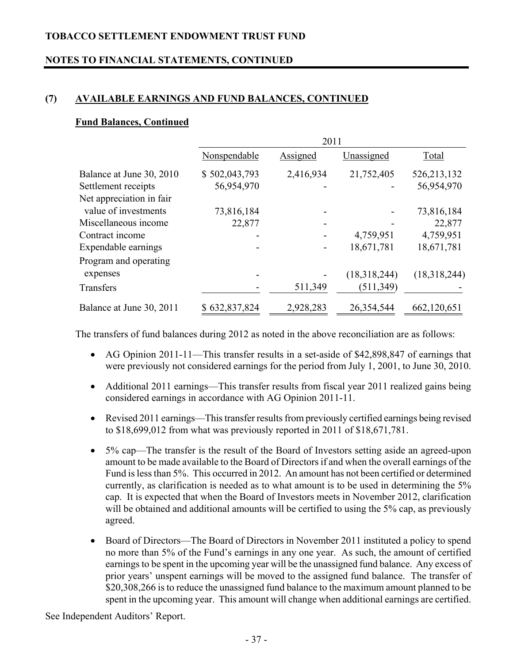# **NOTES TO FINANCIAL STATEMENTS, CONTINUED**

### **(7) AVAILABLE EARNINGS AND FUND BALANCES, CONTINUED**

### **Fund Balances, Continued**

|                          | 2011                |           |              |              |  |
|--------------------------|---------------------|-----------|--------------|--------------|--|
|                          | <b>Nonspendable</b> | Assigned  | Unassigned   | Total        |  |
| Balance at June 30, 2010 | \$502,043,793       | 2,416,934 | 21,752,405   | 526,213,132  |  |
| Settlement receipts      | 56,954,970          |           |              | 56,954,970   |  |
| Net appreciation in fair |                     |           |              |              |  |
| value of investments     | 73,816,184          |           |              | 73,816,184   |  |
| Miscellaneous income     | 22,877              |           |              | 22,877       |  |
| Contract income          |                     |           | 4,759,951    | 4,759,951    |  |
| Expendable earnings      |                     |           | 18,671,781   | 18,671,781   |  |
| Program and operating    |                     |           |              |              |  |
| expenses                 |                     |           | (18,318,244) | (18,318,244) |  |
| Transfers                |                     | 511,349   | (511, 349)   |              |  |
| Balance at June 30, 2011 | \$632,837,824       | 2,928,283 | 26,354,544   | 662,120,651  |  |

The transfers of fund balances during 2012 as noted in the above reconciliation are as follows:

- AG Opinion 2011-11—This transfer results in a set-aside of \$42,898,847 of earnings that were previously not considered earnings for the period from July 1, 2001, to June 30, 2010.
- Additional 2011 earnings—This transfer results from fiscal year 2011 realized gains being considered earnings in accordance with AG Opinion 2011-11.
- Revised 2011 earnings—This transfer results from previously certified earnings being revised to \$18,699,012 from what was previously reported in 2011 of \$18,671,781.
- 5% cap—The transfer is the result of the Board of Investors setting aside an agreed-upon amount to be made available to the Board of Directors if and when the overall earnings of the Fund is less than 5%. This occurred in 2012. An amount has not been certified or determined currently, as clarification is needed as to what amount is to be used in determining the 5% cap. It is expected that when the Board of Investors meets in November 2012, clarification will be obtained and additional amounts will be certified to using the 5% cap, as previously agreed.
- Board of Directors—The Board of Directors in November 2011 instituted a policy to spend no more than 5% of the Fund's earnings in any one year. As such, the amount of certified earnings to be spent in the upcoming year will be the unassigned fund balance. Any excess of prior years' unspent earnings will be moved to the assigned fund balance. The transfer of \$20,308,266 is to reduce the unassigned fund balance to the maximum amount planned to be spent in the upcoming year. This amount will change when additional earnings are certified.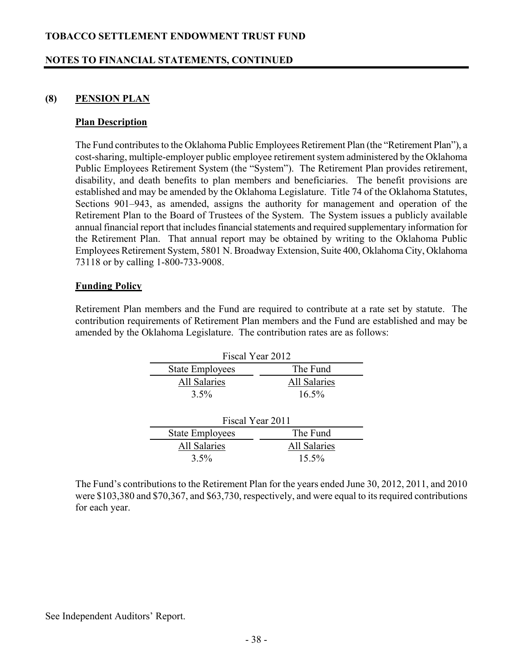# **NOTES TO FINANCIAL STATEMENTS, CONTINUED**

# **(8) PENSION PLAN**

### **Plan Description**

The Fund contributes to the Oklahoma Public Employees Retirement Plan (the "Retirement Plan"), a cost-sharing, multiple-employer public employee retirement system administered by the Oklahoma Public Employees Retirement System (the "System"). The Retirement Plan provides retirement, disability, and death benefits to plan members and beneficiaries. The benefit provisions are established and may be amended by the Oklahoma Legislature. Title 74 of the Oklahoma Statutes, Sections 901–943, as amended, assigns the authority for management and operation of the Retirement Plan to the Board of Trustees of the System. The System issues a publicly available annual financial report that includes financial statements and required supplementary information for the Retirement Plan. That annual report may be obtained by writing to the Oklahoma Public Employees Retirement System, 5801 N. Broadway Extension, Suite 400, Oklahoma City, Oklahoma 73118 or by calling 1-800-733-9008.

### **Funding Policy**

Retirement Plan members and the Fund are required to contribute at a rate set by statute. The contribution requirements of Retirement Plan members and the Fund are established and may be amended by the Oklahoma Legislature. The contribution rates are as follows:

| Fiscal Year 2012       |                     |  |  |  |  |
|------------------------|---------------------|--|--|--|--|
| <b>State Employees</b> | The Fund            |  |  |  |  |
| All Salaries           | <b>All Salaries</b> |  |  |  |  |
| $3.5\%$                | 16.5%               |  |  |  |  |
| Fiscal Year 2011       |                     |  |  |  |  |
| <b>State Employees</b> | The Fund            |  |  |  |  |
| <b>All Salaries</b>    | All Salaries        |  |  |  |  |
| 3.5%                   | $15.5\%$            |  |  |  |  |

The Fund's contributions to the Retirement Plan for the years ended June 30, 2012, 2011, and 2010 were \$103,380 and \$70,367, and \$63,730, respectively, and were equal to its required contributions for each year.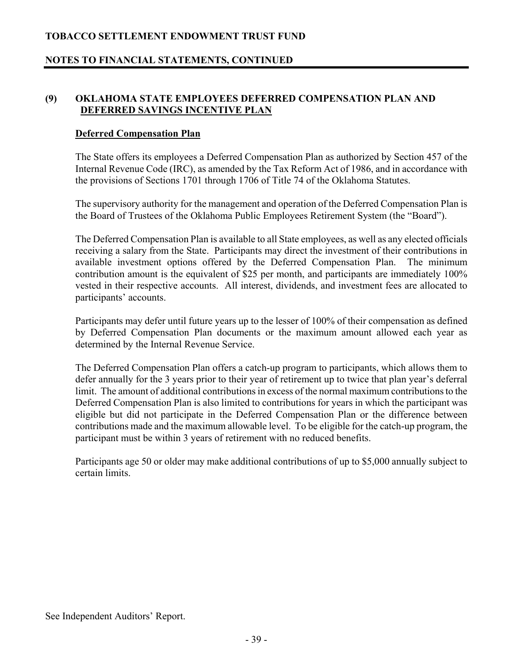# **NOTES TO FINANCIAL STATEMENTS, CONTINUED**

# **(9) OKLAHOMA STATE EMPLOYEES DEFERRED COMPENSATION PLAN AND DEFERRED SAVINGS INCENTIVE PLAN**

#### **Deferred Compensation Plan**

The State offers its employees a Deferred Compensation Plan as authorized by Section 457 of the Internal Revenue Code (IRC), as amended by the Tax Reform Act of 1986, and in accordance with the provisions of Sections 1701 through 1706 of Title 74 of the Oklahoma Statutes.

The supervisory authority for the management and operation of the Deferred Compensation Plan is the Board of Trustees of the Oklahoma Public Employees Retirement System (the "Board").

The Deferred Compensation Plan is available to all State employees, as well as any elected officials receiving a salary from the State. Participants may direct the investment of their contributions in available investment options offered by the Deferred Compensation Plan. The minimum contribution amount is the equivalent of \$25 per month, and participants are immediately 100% vested in their respective accounts. All interest, dividends, and investment fees are allocated to participants' accounts.

Participants may defer until future years up to the lesser of 100% of their compensation as defined by Deferred Compensation Plan documents or the maximum amount allowed each year as determined by the Internal Revenue Service.

The Deferred Compensation Plan offers a catch-up program to participants, which allows them to defer annually for the 3 years prior to their year of retirement up to twice that plan year's deferral limit. The amount of additional contributions in excess of the normal maximum contributions to the Deferred Compensation Plan is also limited to contributions for years in which the participant was eligible but did not participate in the Deferred Compensation Plan or the difference between contributions made and the maximum allowable level. To be eligible for the catch-up program, the participant must be within 3 years of retirement with no reduced benefits.

Participants age 50 or older may make additional contributions of up to \$5,000 annually subject to certain limits.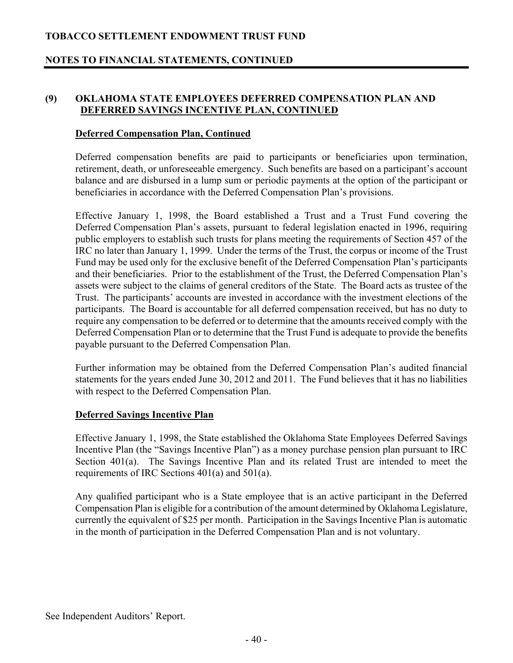# **NOTES TO FINANCIAL STATEMENTS, CONTINUED**

# **(9) OKLAHOMA STATE EMPLOYEES DEFERRED COMPENSATION PLAN AND DEFERRED SAVINGS INCENTIVE PLAN, CONTINUED**

### **Deferred Compensation Plan, Continued**

Deferred compensation benefits are paid to participants or beneficiaries upon termination, retirement, death, or unforeseeable emergency. Such benefits are based on a participant's account balance and are disbursed in a lump sum or periodic payments at the option of the participant or beneficiaries in accordance with the Deferred Compensation Plan's provisions.

Effective January 1, 1998, the Board established a Trust and a Trust Fund covering the Deferred Compensation Plan's assets, pursuant to federal legislation enacted in 1996, requiring public employers to establish such trusts for plans meeting the requirements of Section 457 of the IRC no later than January 1, 1999. Under the terms of the Trust, the corpus or income of the Trust Fund may be used only for the exclusive benefit of the Deferred Compensation Plan's participants and their beneficiaries. Prior to the establishment of the Trust, the Deferred Compensation Plan's assets were subject to the claims of general creditors of the State. The Board acts as trustee of the Trust. The participants' accounts are invested in accordance with the investment elections of the participants. The Board is accountable for all deferred compensation received, but has no duty to require any compensation to be deferred or to determine that the amounts received comply with the Deferred Compensation Plan or to determine that the Trust Fund is adequate to provide the benefits payable pursuant to the Deferred Compensation Plan.

Further information may be obtained from the Deferred Compensation Plan's audited financial statements for the years ended June 30, 2012 and 2011. The Fund believes that it has no liabilities with respect to the Deferred Compensation Plan.

#### **Deferred Savings Incentive Plan**

Effective January 1, 1998, the State established the Oklahoma State Employees Deferred Savings Incentive Plan (the "Savings Incentive Plan") as a money purchase pension plan pursuant to IRC Section 401(a). The Savings Incentive Plan and its related Trust are intended to meet the requirements of IRC Sections 401(a) and 501(a).

Any qualified participant who is a State employee that is an active participant in the Deferred Compensation Plan is eligible for a contribution of the amount determined by Oklahoma Legislature, currently the equivalent of \$25 per month. Participation in the Savings Incentive Plan is automatic in the month of participation in the Deferred Compensation Plan and is not voluntary.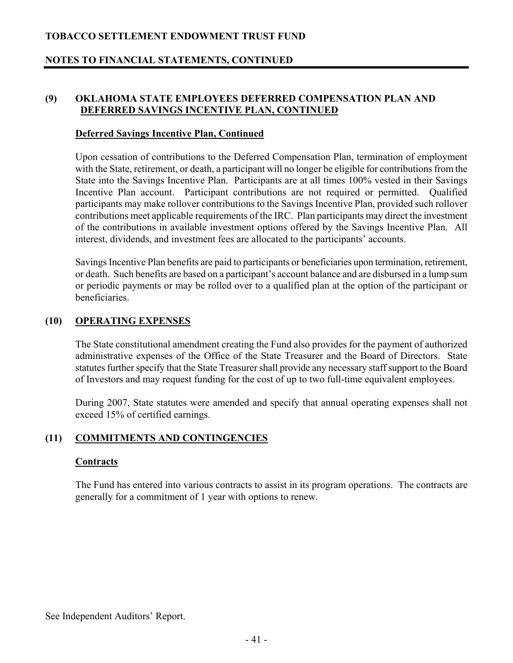# **NOTES TO FINANCIAL STATEMENTS, CONTINUED**

### **(9) OKLAHOMA STATE EMPLOYEES DEFERRED COMPENSATION PLAN AND DEFERRED SAVINGS INCENTIVE PLAN, CONTINUED**

#### **Deferred Savings Incentive Plan, Continued**

Upon cessation of contributions to the Deferred Compensation Plan, termination of employment with the State, retirement, or death, a participant will no longer be eligible for contributions from the State into the Savings Incentive Plan. Participants are at all times 100% vested in their Savings Incentive Plan account. Participant contributions are not required or permitted. Qualified participants may make rollover contributions to the Savings Incentive Plan, provided such rollover contributions meet applicable requirements of the IRC. Plan participants may direct the investment of the contributions in available investment options offered by the Savings Incentive Plan. All interest, dividends, and investment fees are allocated to the participants' accounts.

Savings Incentive Plan benefits are paid to participants or beneficiaries upon termination, retirement, or death. Such benefits are based on a participant's account balance and are disbursed in a lump sum or periodic payments or may be rolled over to a qualified plan at the option of the participant or beneficiaries.

#### **(10) OPERATING EXPENSES**

The State constitutional amendment creating the Fund also provides for the payment of authorized administrative expenses of the Office of the State Treasurer and the Board of Directors. State statutes further specify that the State Treasurer shall provide any necessary staff support to the Board of Investors and may request funding for the cost of up to two full-time equivalent employees.

During 2007, State statutes were amended and specify that annual operating expenses shall not exceed 15% of certified earnings.

# **(11) COMMITMENTS AND CONTINGENCIES**

#### **Contracts**

The Fund has entered into various contracts to assist in its program operations. The contracts are generally for a commitment of 1 year with options to renew.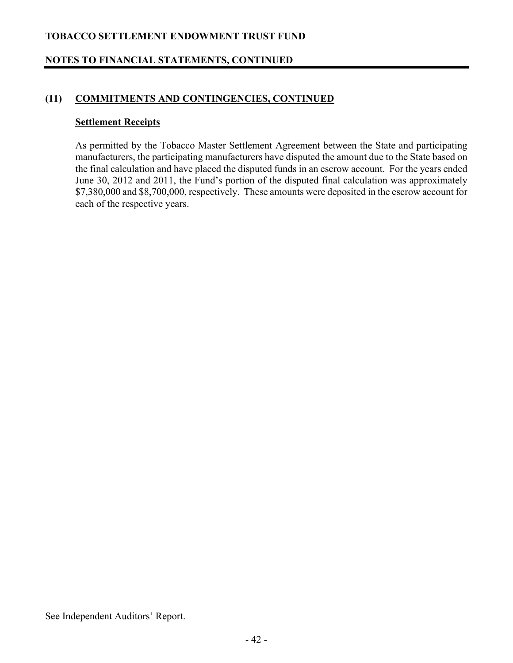# **NOTES TO FINANCIAL STATEMENTS, CONTINUED**

# **(11) COMMITMENTS AND CONTINGENCIES, CONTINUED**

#### **Settlement Receipts**

As permitted by the Tobacco Master Settlement Agreement between the State and participating manufacturers, the participating manufacturers have disputed the amount due to the State based on the final calculation and have placed the disputed funds in an escrow account. For the years ended June 30, 2012 and 2011, the Fund's portion of the disputed final calculation was approximately \$7,380,000 and \$8,700,000, respectively. These amounts were deposited in the escrow account for each of the respective years.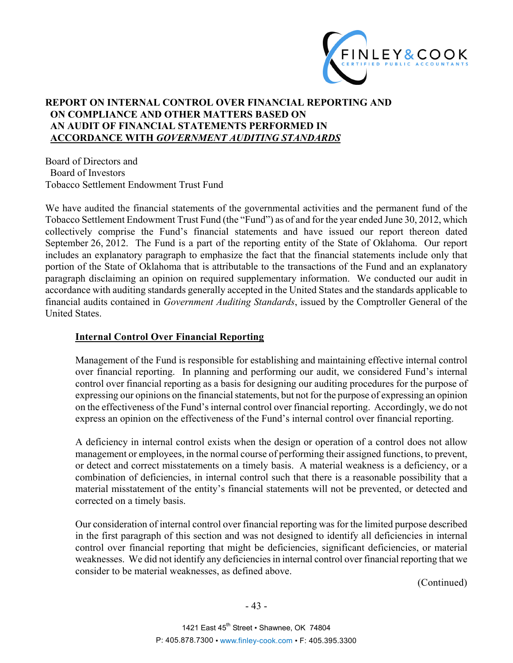

# **REPORT ON INTERNAL CONTROL OVER FINANCIAL REPORTING AND ON COMPLIANCE AND OTHER MATTERS BASED ON AN AUDIT OF FINANCIAL STATEMENTS PERFORMED IN ACCORDANCE WITH** *GOVERNMENT AUDITING STANDARDS*

Board of Directors and Board of Investors Tobacco Settlement Endowment Trust Fund

We have audited the financial statements of the governmental activities and the permanent fund of the Tobacco Settlement Endowment Trust Fund (the "Fund") as of and for the year ended June 30, 2012, which collectively comprise the Fund's financial statements and have issued our report thereon dated September 26, 2012. The Fund is a part of the reporting entity of the State of Oklahoma. Our report includes an explanatory paragraph to emphasize the fact that the financial statements include only that portion of the State of Oklahoma that is attributable to the transactions of the Fund and an explanatory paragraph disclaiming an opinion on required supplementary information. We conducted our audit in accordance with auditing standards generally accepted in the United States and the standards applicable to financial audits contained in *Government Auditing Standards*, issued by the Comptroller General of the United States.

# **Internal Control Over Financial Reporting**

Management of the Fund is responsible for establishing and maintaining effective internal control over financial reporting. In planning and performing our audit, we considered Fund's internal control over financial reporting as a basis for designing our auditing procedures for the purpose of expressing our opinions on the financial statements, but not for the purpose of expressing an opinion on the effectiveness of the Fund's internal control over financial reporting. Accordingly, we do not express an opinion on the effectiveness of the Fund's internal control over financial reporting.

A deficiency in internal control exists when the design or operation of a control does not allow management or employees, in the normal course of performing their assigned functions, to prevent, or detect and correct misstatements on a timely basis. A material weakness is a deficiency, or a combination of deficiencies, in internal control such that there is a reasonable possibility that a material misstatement of the entity's financial statements will not be prevented, or detected and corrected on a timely basis.

Our consideration of internal control over financial reporting was for the limited purpose described in the first paragraph of this section and was not designed to identify all deficiencies in internal control over financial reporting that might be deficiencies, significant deficiencies, or material weaknesses. We did not identify any deficiencies in internal control over financial reporting that we consider to be material weaknesses, as defined above.

(Continued)